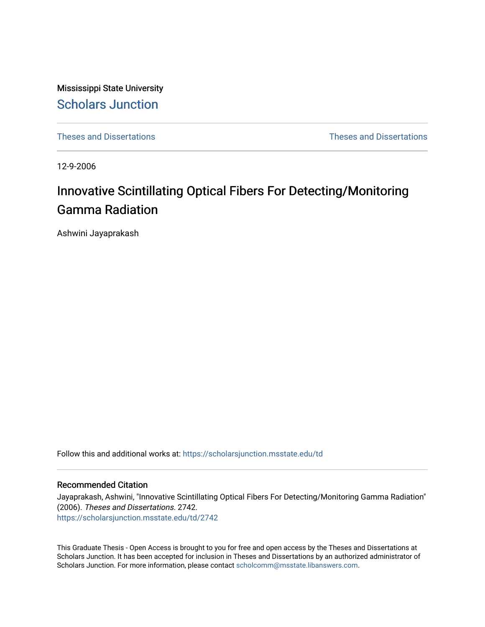Mississippi State University [Scholars Junction](https://scholarsjunction.msstate.edu/) 

[Theses and Dissertations](https://scholarsjunction.msstate.edu/td) [Theses and Dissertations](https://scholarsjunction.msstate.edu/theses-dissertations) 

12-9-2006

# Innovative Scintillating Optical Fibers For Detecting/Monitoring Gamma Radiation

Ashwini Jayaprakash

Follow this and additional works at: [https://scholarsjunction.msstate.edu/td](https://scholarsjunction.msstate.edu/td?utm_source=scholarsjunction.msstate.edu%2Ftd%2F2742&utm_medium=PDF&utm_campaign=PDFCoverPages) 

# Recommended Citation

Jayaprakash, Ashwini, "Innovative Scintillating Optical Fibers For Detecting/Monitoring Gamma Radiation" (2006). Theses and Dissertations. 2742. [https://scholarsjunction.msstate.edu/td/2742](https://scholarsjunction.msstate.edu/td/2742?utm_source=scholarsjunction.msstate.edu%2Ftd%2F2742&utm_medium=PDF&utm_campaign=PDFCoverPages) 

This Graduate Thesis - Open Access is brought to you for free and open access by the Theses and Dissertations at Scholars Junction. It has been accepted for inclusion in Theses and Dissertations by an authorized administrator of Scholars Junction. For more information, please contact [scholcomm@msstate.libanswers.com.](mailto:scholcomm@msstate.libanswers.com)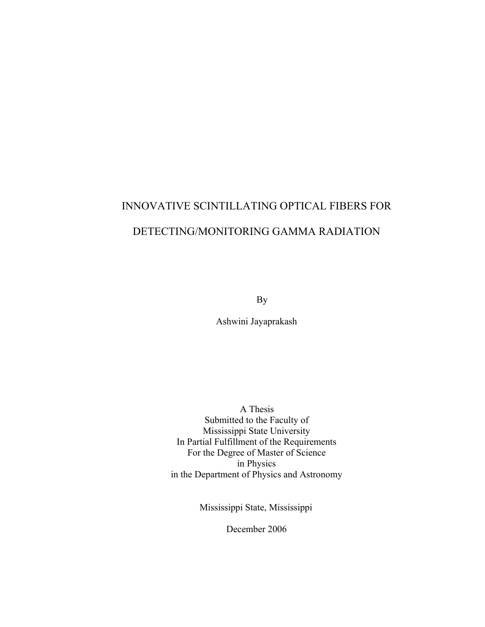# INNOVATIVE SCINTILLATING OPTICAL FIBERS FOR DETECTING/MONITORING GAMMA RADIATION

By

Ashwini Jayaprakash

 A Thesis Submitted to the Faculty of Mississippi State University In Partial Fulfillment of the Requirements For the Degree of Master of Science in Physics in the Department of Physics and Astronomy

Mississippi State, Mississippi

December 2006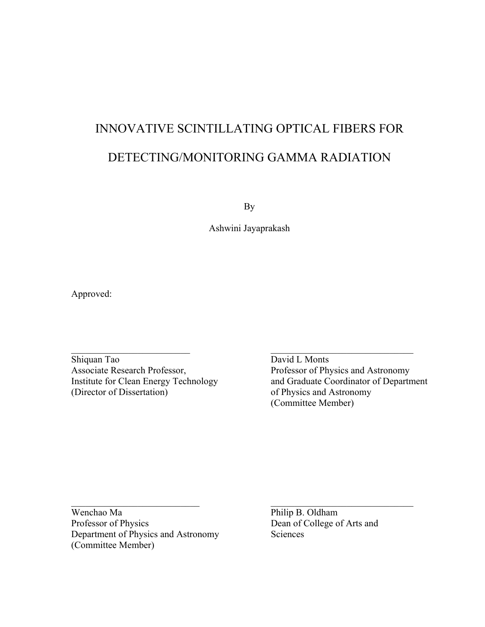# INNOVATIVE SCINTILLATING OPTICAL FIBERS FOR DETECTING/MONITORING GAMMA RADIATION

By

Ashwini Jayaprakash

 $\overline{\phantom{a}}$  , and the contribution of the contribution of the contribution of the contribution of the contribution of the contribution of the contribution of the contribution of the contribution of the contribution of the

Approved:

Shiquan Tao David L Monts Associate Research Professor,<br>
Institute for Clean Energy Technology<br>
and Graduate Coordinator of Departn

Institute for Clean Energy Technology and Graduate Coordinator of Department (Director of Dissertation) of Physics and Astronomy of Physics and Astronomy (Committee Member)

Wenchao Ma **Philip B. Oldham** Professor of Physics Dean of College of Arts and Department of Physics and Astronomy Sciences (Committee Member)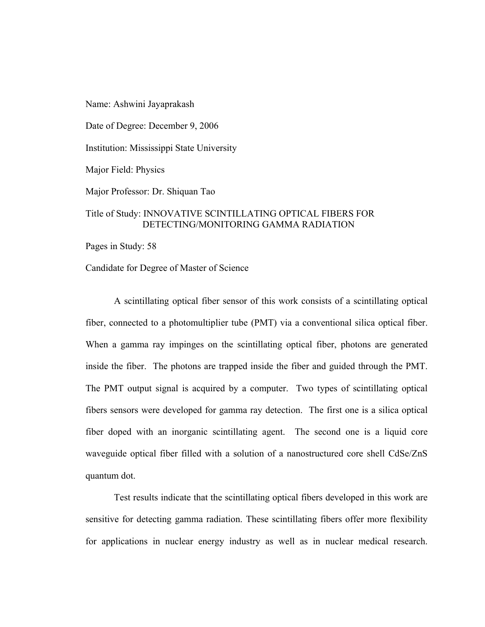Name: Ashwini Jayaprakash

Date of Degree: December 9, 2006

Institution: Mississippi State University

Major Field: Physics

Major Professor: Dr. Shiquan Tao

# Title of Study: INNOVATIVE SCINTILLATING OPTICAL FIBERS FOR DETECTING/MONITORING GAMMA RADIATION

Pages in Study: 58

Candidate for Degree of Master of Science

A scintillating optical fiber sensor of this work consists of a scintillating optical fiber, connected to a photomultiplier tube (PMT) via a conventional silica optical fiber. When a gamma ray impinges on the scintillating optical fiber, photons are generated inside the fiber. The photons are trapped inside the fiber and guided through the PMT. The PMT output signal is acquired by a computer. Two types of scintillating optical fibers sensors were developed for gamma ray detection. The first one is a silica optical fiber doped with an inorganic scintillating agent. The second one is a liquid core waveguide optical fiber filled with a solution of a nanostructured core shell CdSe/ZnS quantum dot.

Test results indicate that the scintillating optical fibers developed in this work are sensitive for detecting gamma radiation. These scintillating fibers offer more flexibility for applications in nuclear energy industry as well as in nuclear medical research.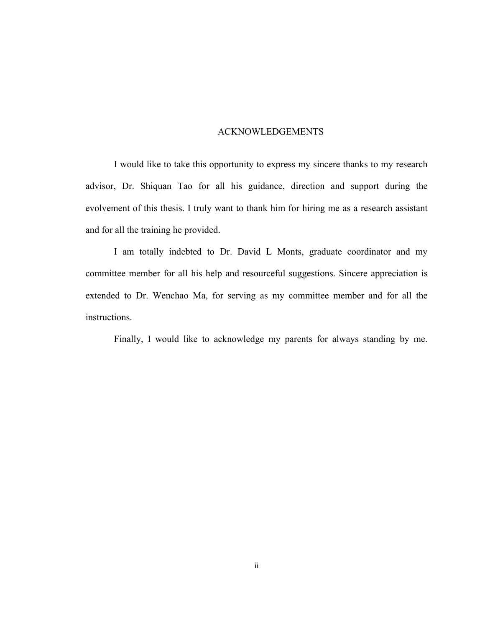# ACKNOWLEDGEMENTS

I would like to take this opportunity to express my sincere thanks to my research advisor, Dr. Shiquan Tao for all his guidance, direction and support during the evolvement of this thesis. I truly want to thank him for hiring me as a research assistant and for all the training he provided.

I am totally indebted to Dr. David L Monts, graduate coordinator and my committee member for all his help and resourceful suggestions. Sincere appreciation is extended to Dr. Wenchao Ma, for serving as my committee member and for all the instructions.

Finally, I would like to acknowledge my parents for always standing by me.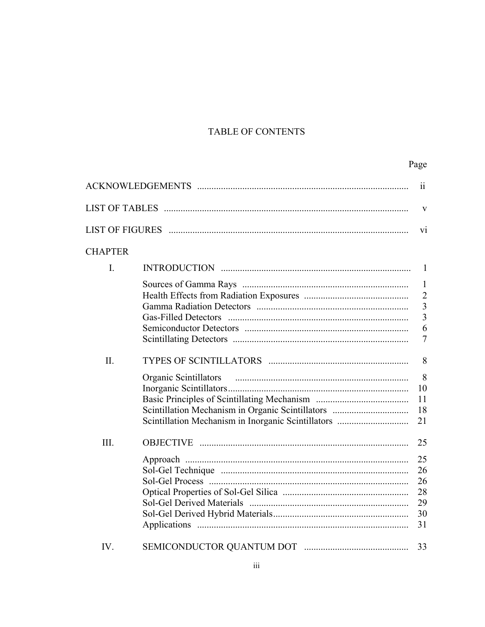# TABLE OF CONTENTS

# Page

|                |                                                    | 11              |
|----------------|----------------------------------------------------|-----------------|
|                |                                                    | V               |
|                |                                                    | $\overline{vi}$ |
| <b>CHAPTER</b> |                                                    |                 |
| I.             |                                                    |                 |
|                |                                                    | $\mathbf{1}$    |
|                |                                                    | $\overline{2}$  |
|                |                                                    | $\overline{3}$  |
|                |                                                    | $\overline{3}$  |
|                |                                                    | 6               |
|                |                                                    | $\overline{7}$  |
| II.            |                                                    | 8               |
|                |                                                    | 8               |
|                |                                                    | 10              |
|                |                                                    | 11              |
|                |                                                    | 18              |
|                | Scintillation Mechanism in Inorganic Scintillators | 21              |
| III.           |                                                    | 25              |
|                |                                                    | 25              |
|                |                                                    | 26              |
|                |                                                    | 26              |
|                |                                                    | 28              |
|                |                                                    | 29              |
|                |                                                    | 30              |
|                |                                                    | 31              |
| IV.            |                                                    | 33              |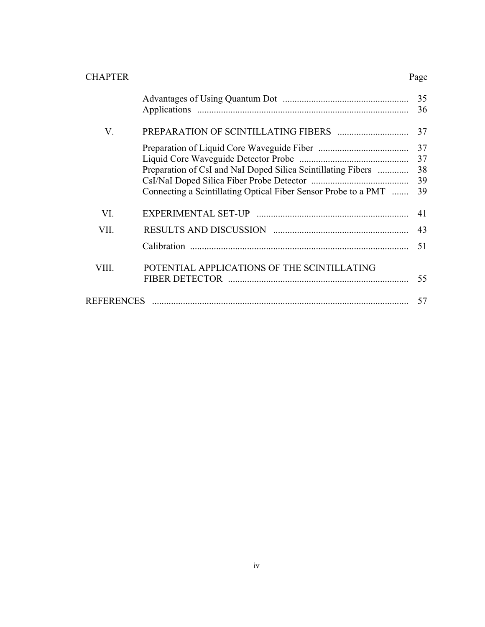| <b>CHAPTER</b>    |                                                                                                                                                                                                                                                                                                                                                                                 | Page                       |
|-------------------|---------------------------------------------------------------------------------------------------------------------------------------------------------------------------------------------------------------------------------------------------------------------------------------------------------------------------------------------------------------------------------|----------------------------|
|                   |                                                                                                                                                                                                                                                                                                                                                                                 | 35<br>36                   |
| V.                |                                                                                                                                                                                                                                                                                                                                                                                 | 37                         |
|                   | Preparation of CsI and NaI Doped Silica Scintillating Fibers<br>Connecting a Scintillating Optical Fiber Sensor Probe to a PMT                                                                                                                                                                                                                                                  | 37<br>37<br>38<br>39<br>39 |
| VI.               |                                                                                                                                                                                                                                                                                                                                                                                 | 41                         |
| VII.              |                                                                                                                                                                                                                                                                                                                                                                                 | 43                         |
|                   |                                                                                                                                                                                                                                                                                                                                                                                 | 51                         |
| VIII.             | POTENTIAL APPLICATIONS OF THE SCINTILLATING                                                                                                                                                                                                                                                                                                                                     | 55                         |
| <b>REFERENCES</b> | $\begin{minipage}{0.5\textwidth} \begin{tabular}{ l l l } \hline \textbf{0.01} & \textbf{0.01} & \textbf{0.01} & \textbf{0.01} & \textbf{0.01} & \textbf{0.01} & \textbf{0.01} & \textbf{0.01} & \textbf{0.01} & \textbf{0.01} & \textbf{0.01} & \textbf{0.01} & \textbf{0.01} & \textbf{0.01} & \textbf{0.01} & \textbf{0.01} & \textbf{0.01} & \textbf{0.01} & \textbf{0.01}$ | 57                         |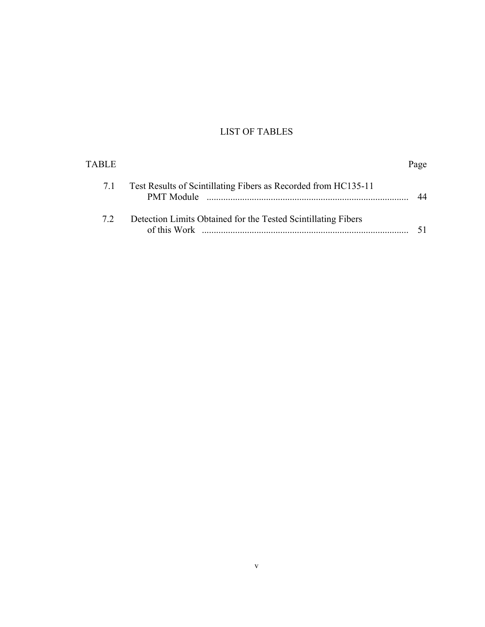# LIST OF TABLES

| TABLE. |                                                                               | Page |
|--------|-------------------------------------------------------------------------------|------|
| 7.1    | Test Results of Scintillating Fibers as Recorded from HC135-11                | 44   |
| 72     | Detection Limits Obtained for the Tested Scintillating Fibers<br>of this Work |      |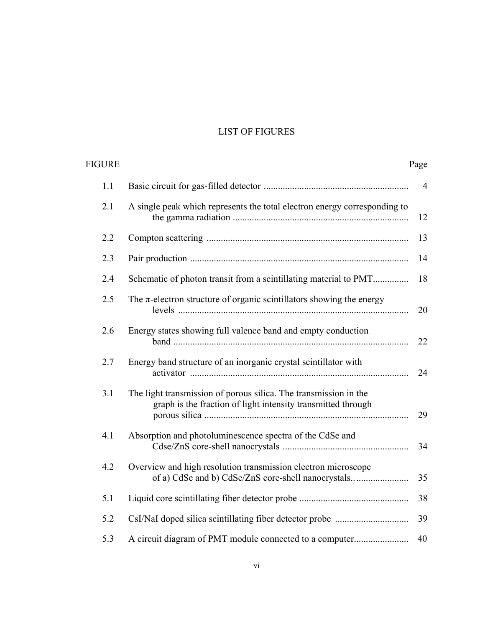# LIST OF FIGURES

| Page           |                                                                                                                                  | FIGURE |
|----------------|----------------------------------------------------------------------------------------------------------------------------------|--------|
| $\overline{4}$ |                                                                                                                                  | 1.1    |
| 12             | A single peak which represents the total electron energy corresponding to                                                        | 2.1    |
| 13             |                                                                                                                                  | 2.2    |
| 14             |                                                                                                                                  | 2.3    |
| 18             | Schematic of photon transit from a scintillating material to PMT                                                                 | 2.4    |
| 20             | The $\pi$ -electron structure of organic scintillators showing the energy                                                        | 2.5    |
| 22             | Energy states showing full valence band and empty conduction                                                                     | 2.6    |
| 24             | Energy band structure of an inorganic crystal scintillator with                                                                  | 2.7    |
| 29             | The light transmission of porous silica. The transmission in the<br>graph is the fraction of light intensity transmitted through | 3.1    |
| 34             | Absorption and photoluminescence spectra of the CdSe and                                                                         | 4.1    |
| 35             | Overview and high resolution transmission electron microscope                                                                    | 4.2    |
| 38             |                                                                                                                                  | 5.1    |
| 39             |                                                                                                                                  | 5.2    |
| 40             | A circuit diagram of PMT module connected to a computer                                                                          | 5.3    |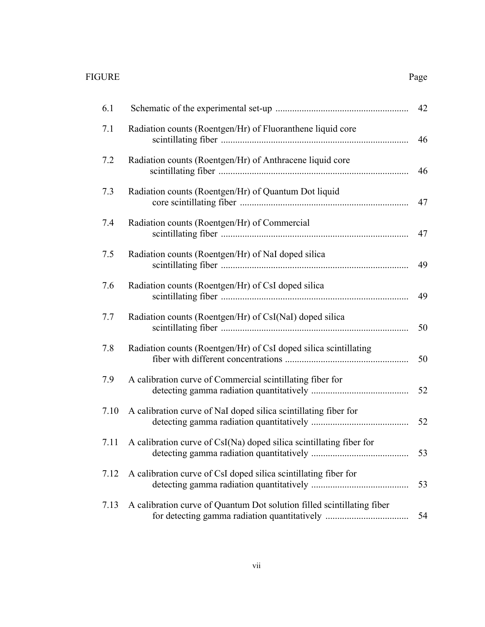# FIGURE Page

|--|

| 6.1  |                                                                                                                        | 42 |
|------|------------------------------------------------------------------------------------------------------------------------|----|
| 7.1  | Radiation counts (Roentgen/Hr) of Fluoranthene liquid core                                                             | 46 |
| 7.2  | Radiation counts (Roentgen/Hr) of Anthracene liquid core                                                               | 46 |
| 7.3  | Radiation counts (Roentgen/Hr) of Quantum Dot liquid                                                                   | 47 |
| 7.4  | Radiation counts (Roentgen/Hr) of Commercial                                                                           | 47 |
| 7.5  | Radiation counts (Roentgen/Hr) of NaI doped silica                                                                     | 49 |
| 7.6  | Radiation counts (Roentgen/Hr) of CsI doped silica                                                                     | 49 |
| 7.7  | Radiation counts (Roentgen/Hr) of CsI(NaI) doped silica                                                                | 50 |
| 7.8  | Radiation counts (Roentgen/Hr) of CsI doped silica scintillating                                                       | 50 |
| 7.9  | A calibration curve of Commercial scintillating fiber for                                                              | 52 |
| 7.10 | A calibration curve of NaI doped silica scintillating fiber for                                                        | 52 |
| 7.11 | A calibration curve of CsI(Na) doped silica scintillating fiber for                                                    |    |
| 7.12 | A calibration curve of CsI doped silica scintillating fiber for                                                        | 53 |
| 7.13 | A calibration curve of Quantum Dot solution filled scintillating fiber<br>for detecting gamma radiation quantitatively | 54 |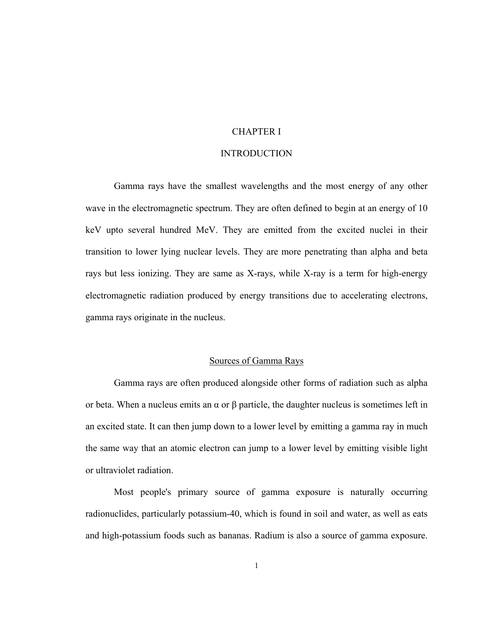# CHAPTER I

# INTRODUCTION

Gamma rays have the smallest wavelengths and the most energy of any other wave in the electromagnetic spectrum. They are often defined to begin at an [energy](http://en.wikipedia.org/wiki/Energy) of 10 [keV](http://en.wikipedia.org/wiki/Electronvolt) upto several hundred MeV. They are emitted from the excited nuclei in their transition to lower lying nuclear levels. They are more penetrating than alpha and beta rays but less ionizing. They are same as X-rays, while X-ray is a term for high-energy electromagnetic radiation produced by energy transitions due to accelerating electrons, gamma rays originate in the nucleus.

# Sources of Gamma Rays

Gamma rays are often produced alongside other forms of radiation such as alpha or beta. When a nucleus emits an  $\alpha$  or  $\beta$  particle, the [daughter nucleus](http://en.wikipedia.org/wiki/Daughter_nucleus) is sometimes left in an excited state. It can then jump down to a lower level by emitting a gamma ray in much the same way that an atomic electron can jump to a lower level by emitting visible light or [ultraviolet](http://en.wikipedia.org/wiki/Ultraviolet) radiation.

Most people's primary source of gamma exposure is naturally occurring radionuclides, particularly potassium-40, which is found in soil and water, as well as eats and high-potassium foods such as bananas. Radium is also a source of gamma exposure.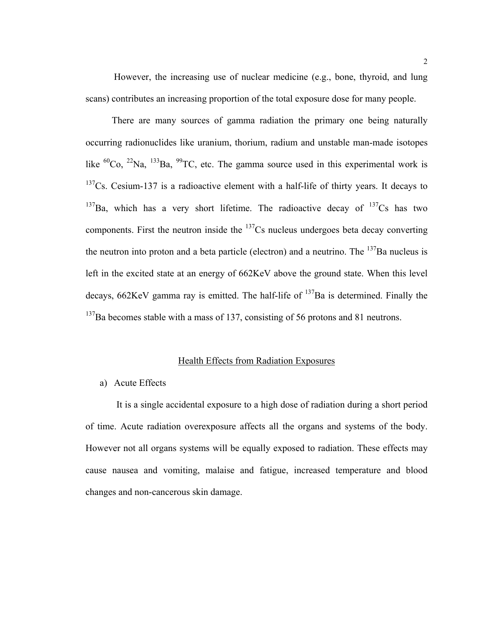However, the increasing use of nuclear medicine (e.g., bone, thyroid, and lung scans) contributes an increasing proportion of the total exposure dose for many people.

 There are many sources of gamma radiation the primary one being naturally occurring radionuclides like uranium, thorium, radium and unstable man-made isotopes like  ${}^{60}Co$ ,  ${}^{22}Na$ ,  ${}^{133}Ba$ ,  ${}^{99}TC$ , etc. The gamma source used in this experimental work is  $137Cs$ . Cesium-137 is a radioactive element with a half-life of thirty years. It decays to  $137$ Ba, which has a very short lifetime. The radioactive decay of  $137$ Cs has two components. First the neutron inside the  $137Cs$  nucleus undergoes beta decay converting the neutron into proton and a beta particle (electron) and a neutrino. The  $^{137}$ Ba nucleus is left in the excited state at an energy of 662KeV above the ground state. When this level decays,  $662$ KeV gamma ray is emitted. The half-life of  $137$ Ba is determined. Finally the  $137$ Ba becomes stable with a mass of 137, consisting of 56 protons and 81 neutrons.

# Health Effects from Radiation Exposures

# a) Acute Effects

 It is a single accidental exposure to a high dose of radiation during a short period of time. Acute radiation overexposure affects all the organs and systems of the body. However not all organs systems will be equally exposed to radiation. These effects may cause nausea and vomiting, malaise and fatigue, increased temperature and blood changes and non-cancerous skin damage.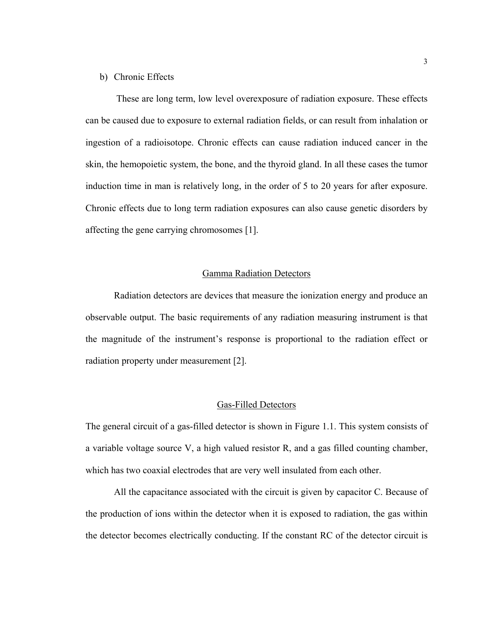#### b) Chronic Effects

 These are long term, low level overexposure of radiation exposure. These effects can be caused due to exposure to external radiation fields, or can result from inhalation or ingestion of a radioisotope. Chronic effects can cause radiation induced cancer in the skin, the hemopoietic system, the bone, and the thyroid gland. In all these cases the tumor induction time in man is relatively long, in the order of 5 to 20 years for after exposure. Chronic effects due to long term radiation exposures can also cause genetic disorders by affecting the gene carrying chromosomes [1].

# Gamma Radiation Detectors

Radiation detectors are devices that measure the ionization energy and produce an observable output. The basic requirements of any radiation measuring instrument is that the magnitude of the instrument's response is proportional to the radiation effect or radiation property under measurement [2].

## Gas-Filled Detectors

The general circuit of a gas-filled detector is shown in Figure 1.1. This system consists of a variable voltage source V, a high valued resistor R, and a gas filled counting chamber, which has two coaxial electrodes that are very well insulated from each other.

All the capacitance associated with the circuit is given by capacitor C. Because of the production of ions within the detector when it is exposed to radiation, the gas within the detector becomes electrically conducting. If the constant RC of the detector circuit is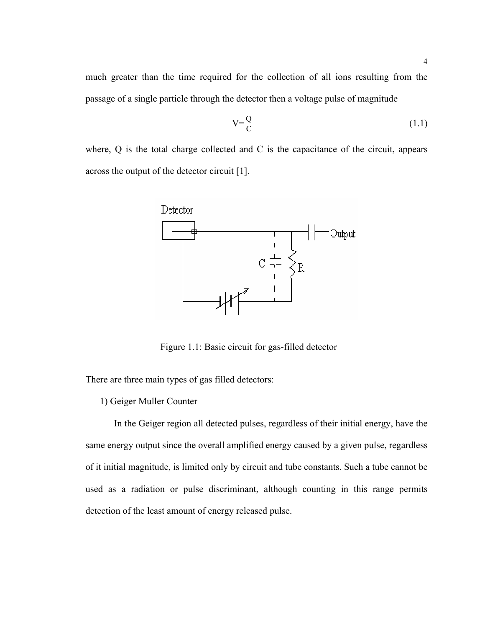much greater than the time required for the collection of all ions resulting from the passage of a single particle through the detector then a voltage pulse of magnitude

$$
V = \frac{Q}{C} \tag{1.1}
$$

where, Q is the total charge collected and C is the capacitance of the circuit, appears across the output of the detector circuit [1].



Figure 1.1: Basic circuit for gas-filled detector

There are three main types of gas filled detectors:

1) Geiger Muller Counter

In the Geiger region all detected pulses, regardless of their initial energy, have the same energy output since the overall amplified energy caused by a given pulse, regardless of it initial magnitude, is limited only by circuit and tube constants. Such a tube cannot be used as a radiation or pulse discriminant, although counting in this range permits detection of the least amount of energy released pulse.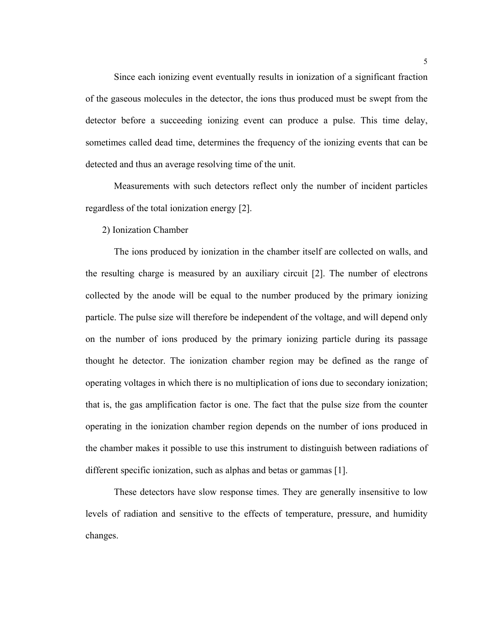Since each ionizing event eventually results in ionization of a significant fraction of the gaseous molecules in the detector, the ions thus produced must be swept from the detector before a succeeding ionizing event can produce a pulse. This time delay, sometimes called dead time, determines the frequency of the ionizing events that can be detected and thus an average resolving time of the unit.

Measurements with such detectors reflect only the number of incident particles regardless of the total ionization energy [2].

2) Ionization Chamber

The ions produced by ionization in the chamber itself are collected on walls, and the resulting charge is measured by an auxiliary circuit [2]. The number of electrons collected by the anode will be equal to the number produced by the primary ionizing particle. The pulse size will therefore be independent of the voltage, and will depend only on the number of ions produced by the primary ionizing particle during its passage thought he detector. The ionization chamber region may be defined as the range of operating voltages in which there is no multiplication of ions due to secondary ionization; that is, the gas amplification factor is one. The fact that the pulse size from the counter operating in the ionization chamber region depends on the number of ions produced in the chamber makes it possible to use this instrument to distinguish between radiations of different specific ionization, such as alphas and betas or gammas [1].

These detectors have slow response times. They are generally insensitive to low levels of radiation and sensitive to the effects of temperature, pressure, and humidity changes.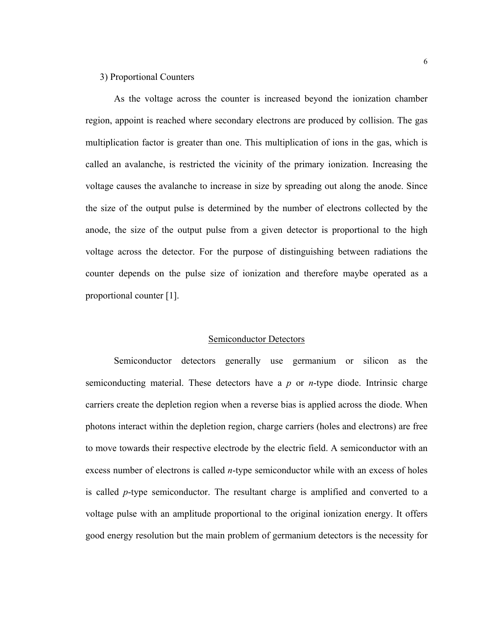#### 3) Proportional Counters

As the voltage across the counter is increased beyond the ionization chamber region, appoint is reached where secondary electrons are produced by collision. The gas multiplication factor is greater than one. This multiplication of ions in the gas, which is called an avalanche, is restricted the vicinity of the primary ionization. Increasing the voltage causes the avalanche to increase in size by spreading out along the anode. Since the size of the output pulse is determined by the number of electrons collected by the anode, the size of the output pulse from a given detector is proportional to the high voltage across the detector. For the purpose of distinguishing between radiations the counter depends on the pulse size of ionization and therefore maybe operated as a proportional counter [1].

# Semiconductor Detectors

Semiconductor detectors generally use germanium or silicon as the semiconducting material. These detectors have a *p* or *n*-type diode. Intrinsic charge carriers create the depletion region when a reverse bias is applied across the diode. When photons interact within the depletion region, charge carriers (holes and electrons) are free to move towards their respective electrode by the electric field. A semiconductor with an excess number of electrons is called *n*-type semiconductor while with an excess of holes is called *p*-type semiconductor. The resultant charge is amplified and converted to a voltage pulse with an amplitude proportional to the original ionization energy. It offers good energy resolution but the main problem of germanium detectors is the necessity for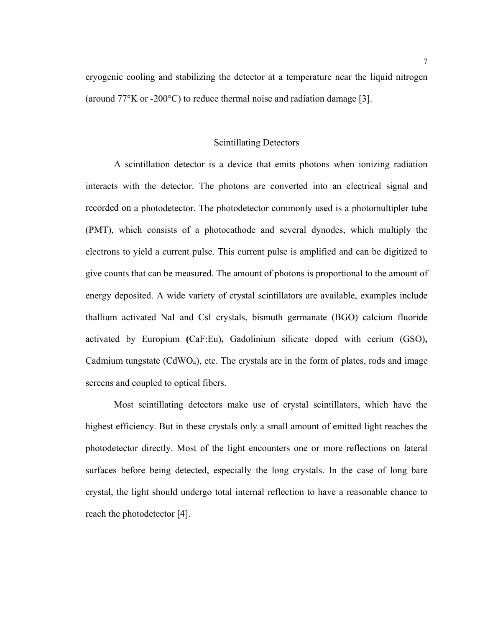cryogenic cooling and stabilizing the detector at a temperature near the liquid nitrogen (around  $77^{\circ}$ K or -200 $^{\circ}$ C) to reduce thermal noise and radiation damage [3].

#### Scintillating Detectors

A scintillation detector is a device that emits photons when ionizing radiation interacts with the detector. The photons are converted into an electrical signal and recorded on a photodetector. The photodetector commonly used is a photomultipler tube (PMT), which consists of a photocathode and several dynodes, which multiply the electrons to yield a current pulse. This current pulse is amplified and can be digitized to give counts that can be measured. The amount of photons is proportional to the amount of energy deposited. A wide variety of crystal scintillators are available, examples include thallium activated NaI and CsI crystals, bismuth germanate (BGO) calcium fluoride activated by Europium **(**[CaF:Eu\)](http://www.marketech-scintillators.com/index.html#CaF:Eu#CaF:Eu)**,** Gadolinium silicate doped with cerium ([GSO\)](http://www.marketech-scintillators.com/index.html#GSO#GSO)**,** Cadmium tungstate (CdWO<sub>4</sub>), etc. The crystals are in the form of plates, rods and image screens and coupled to optical fibers.

Most scintillating detectors make use of crystal scintillators, which have the highest efficiency. But in these crystals only a small amount of emitted light reaches the photodetector directly. Most of the light encounters one or more reflections on lateral surfaces before being detected, especially the long crystals. In the case of long bare crystal, the light should undergo total internal reflection to have a reasonable chance to reach the photodetector [4].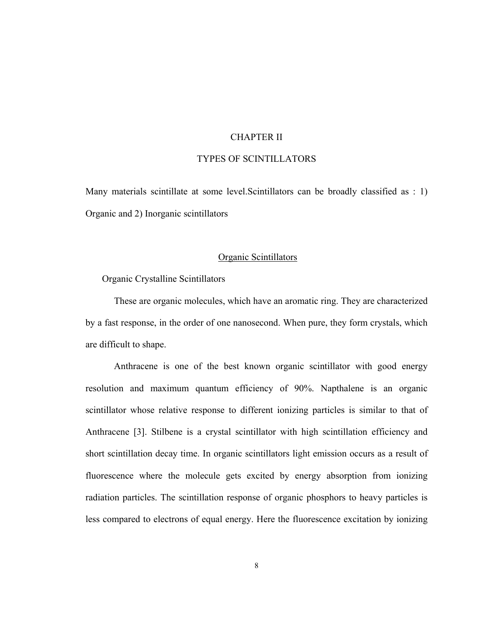# CHAPTER II

# TYPES OF SCINTILLATORS

Many materials scintillate at some level.Scintillators can be broadly classified as : 1) Organic and 2) Inorganic scintillators

# Organic Scintillators

Organic Crystalline Scintillators

 These are organic molecules, which have an aromatic ring. They are characterized by a fast response, in the order of one nanosecond. When pure, they form crystals, which are difficult to shape.

Anthracene is one of the best known organic scintillator with good energy resolution and maximum quantum efficiency of 90%. Napthalene is an organic scintillator whose relative response to different ionizing particles is similar to that of Anthracene [3]. Stilbene is a crystal scintillator with high scintillation efficiency and short scintillation decay time. In organic scintillators light emission occurs as a result of fluorescence where the molecule gets excited by energy absorption from ionizing radiation particles. The scintillation response of organic phosphors to heavy particles is less compared to electrons of equal energy. Here the fluorescence excitation by ionizing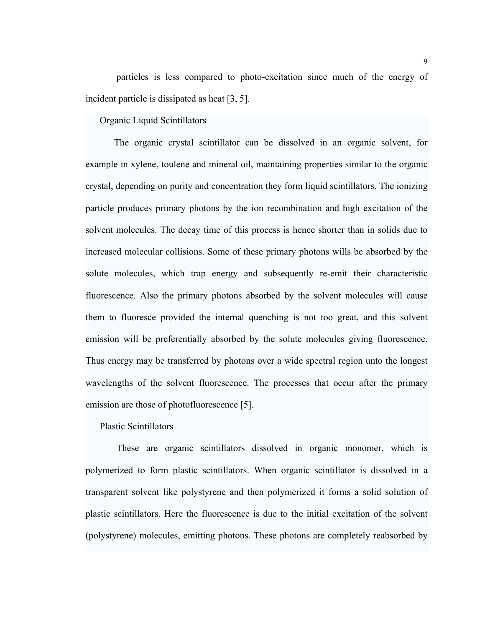particles is less compared to photo-excitation since much of the energy of incident particle is dissipated as heat [3, 5].

Organic Liquid Scintillators

 The organic crystal scintillator can be dissolved in an organic solvent, for example in xylene, toulene and mineral oil, maintaining properties similar to the organic crystal, depending on purity and concentration they form liquid scintillators. The ionizing particle produces primary photons by the ion recombination and high excitation of the solvent molecules. The decay time of this process is hence shorter than in solids due to increased molecular collisions. Some of these primary photons wills be absorbed by the solute molecules, which trap energy and subsequently re-emit their characteristic fluorescence. Also the primary photons absorbed by the solvent molecules will cause them to fluoresce provided the internal quenching is not too great, and this solvent emission will be preferentially absorbed by the solute molecules giving fluorescence. Thus energy may be transferred by photons over a wide spectral region unto the longest wavelengths of the solvent fluorescence. The processes that occur after the primary emission are those of photofluorescence [5].

Plastic Scintillators

 These are organic scintillators dissolved in organic monomer, which is polymerized to form plastic scintillators. When organic scintillator is dissolved in a transparent solvent like polystyrene and then polymerized it forms a solid solution of plastic scintillators. Here the fluorescence is due to the initial excitation of the solvent (polystyrene) molecules, emitting photons. These photons are completely reabsorbed by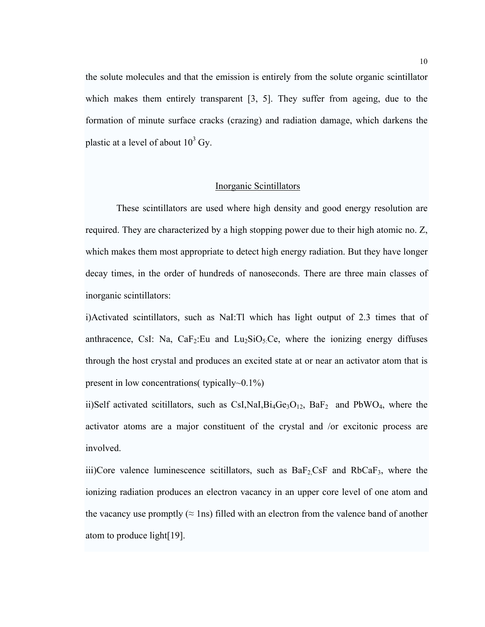the solute molecules and that the emission is entirely from the solute organic scintillator which makes them entirely transparent [3, 5]. They suffer from ageing, due to the formation of minute surface cracks (crazing) and radiation damage, which darkens the plastic at a level of about  $10^3$  Gy.

#### Inorganic Scintillators

These scintillators are used where high density and good energy resolution are required. They are characterized by a high stopping power due to their high atomic no. Z, which makes them most appropriate to detect high energy radiation. But they have longer decay times, in the order of hundreds of nanoseconds. There are three main classes of inorganic scintillators:

i)Activated scintillators, such as NaI:Tl which has light output of 2.3 times that of anthracence, CsI: Na,  $CaF_2:Eu$  and  $Lu_2SiO_5:Ce$ , where the ionizing energy diffuses through the host crystal and produces an excited state at or near an activator atom that is present in low concentrations( typically~0.1%)

ii)Self activated scitillators, such as CsI,NaI,Bi<sub>4</sub>Ge<sub>3</sub>O<sub>12</sub>, BaF<sub>2</sub> and PbWO<sub>4</sub>, where the activator atoms are a major constituent of the crystal and /or excitonic process are involved.

iii)Core valence luminescence scitillators, such as  $BaF_2CsF$  and  $RbCaF_3$ , where the ionizing radiation produces an electron vacancy in an upper core level of one atom and the vacancy use promptly  $(\approx \text{ln}s)$  filled with an electron from the valence band of another atom to produce light[19].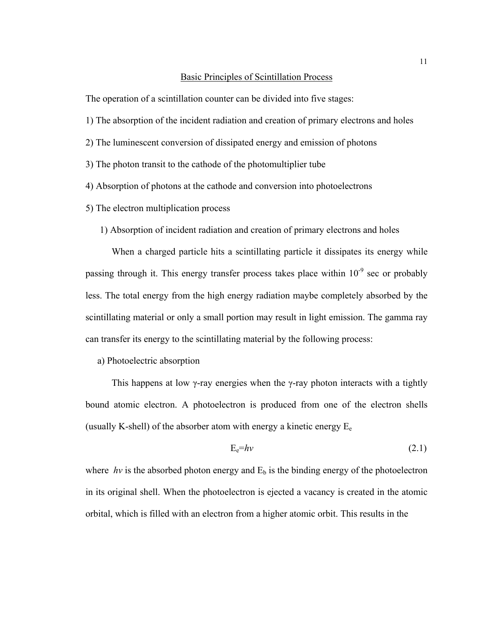#### Basic Principles of Scintillation Process

The operation of a scintillation counter can be divided into five stages:

- 1) The absorption of the incident radiation and creation of primary electrons and holes
- 2) The luminescent conversion of dissipated energy and emission of photons
- 3) The photon transit to the cathode of the photomultiplier tube
- 4) Absorption of photons at the cathode and conversion into photoelectrons
- 5) The electron multiplication process
	- 1) Absorption of incident radiation and creation of primary electrons and holes

 When a charged particle hits a scintillating particle it dissipates its energy while passing through it. This energy transfer process takes place within  $10^{-9}$  sec or probably less. The total energy from the high energy radiation maybe completely absorbed by the scintillating material or only a small portion may result in light emission. The gamma ray can transfer its energy to the scintillating material by the following process:

a) Photoelectric absorption

This happens at low  $\gamma$ -ray energies when the  $\gamma$ -ray photon interacts with a tightly bound atomic electron. A photoelectron is produced from one of the electron shells (usually K-shell) of the absorber atom with energy a kinetic energy  $E_e$ 

$$
E_e=h\nu\tag{2.1}
$$

where *hv* is the absorbed photon energy and  $E_b$  is the binding energy of the photoelectron in its original shell. When the photoelectron is ejected a vacancy is created in the atomic orbital, which is filled with an electron from a higher atomic orbit. This results in the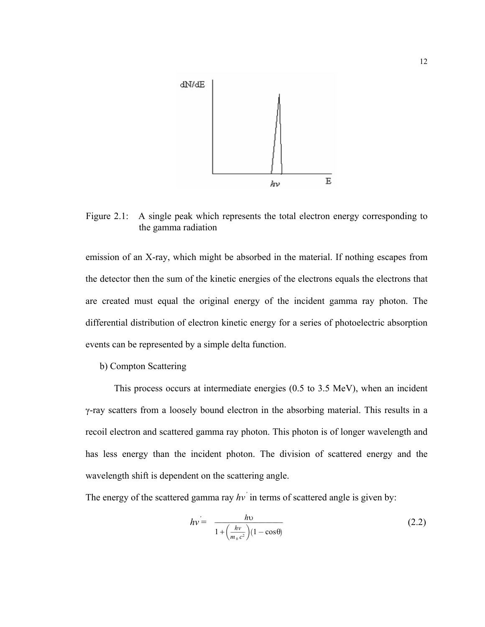

Figure 2.1: A single peak which represents the total electron energy corresponding to the gamma radiation

emission of an X-ray, which might be absorbed in the material. If nothing escapes from the detector then the sum of the kinetic energies of the electrons equals the electrons that are created must equal the original energy of the incident gamma ray photon. The differential distribution of electron kinetic energy for a series of photoelectric absorption events can be represented by a simple delta function.

b) Compton Scattering

 This process occurs at intermediate energies (0.5 to 3.5 MeV), when an incident γ-ray scatters from a loosely bound electron in the absorbing material. This results in a recoil electron and scattered gamma ray photon. This photon is of longer wavelength and has less energy than the incident photon. The division of scattered energy and the wavelength shift is dependent on the scattering angle.

The energy of the scattered gamma ray *hv'* in terms of scattered angle is given by:

$$
hv = \frac{hv}{1 + \left(\frac{hv}{m_0 c^2}\right)(1 - \cos\theta)}
$$
(2.2)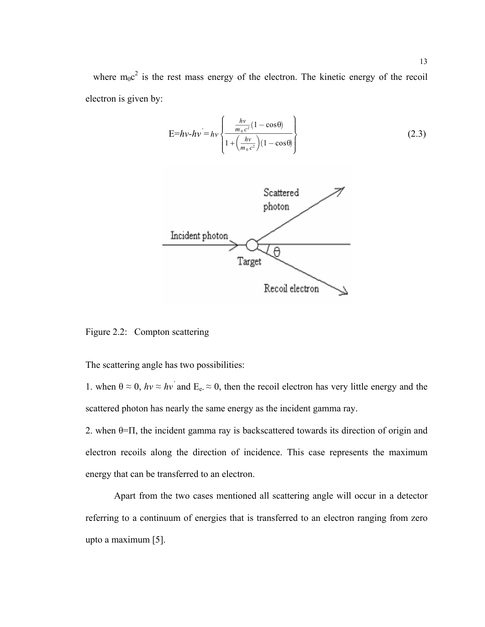where  $m_0c^2$  is the rest mass energy of the electron. The kinetic energy of the recoil electron is given by:

$$
E=hv-hv = hv \left\{ \frac{\frac{hv}{m_0 c^2} (1 - \cos \theta)}{1 + \left(\frac{hv}{m_0 c^2}\right) (1 - \cos \theta)} \right\}
$$
(2.3)



Figure 2.2: Compton scattering

The scattering angle has two possibilities:

1. when  $\theta \approx 0$ ,  $hv \approx hv'$  and  $E_e \approx 0$ , then the recoil electron has very little energy and the scattered photon has nearly the same energy as the incident gamma ray.

2. when  $\theta$ = $\Pi$ , the incident gamma ray is backscattered towards its direction of origin and electron recoils along the direction of incidence. This case represents the maximum energy that can be transferred to an electron.

 Apart from the two cases mentioned all scattering angle will occur in a detector referring to a continuum of energies that is transferred to an electron ranging from zero upto a maximum [5].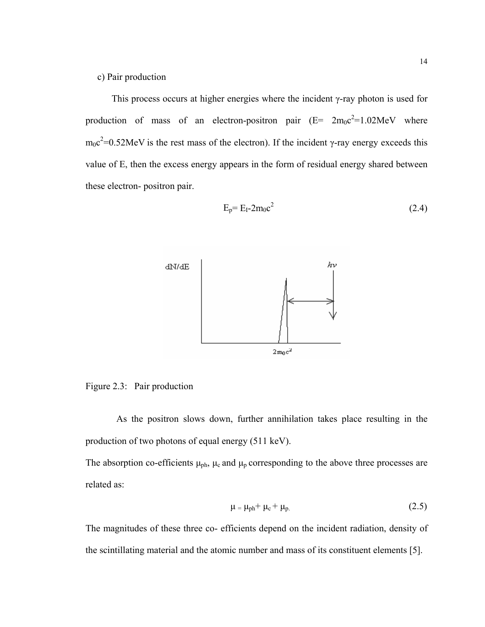This process occurs at higher energies where the incident γ-ray photon is used for production of mass of an electron-positron pair  $(E= 2m_0c^2=1.02 \text{MeV}$  where  $m_0c^2$ =0.52MeV is the rest mass of the electron). If the incident γ-ray energy exceeds this value of E, then the excess energy appears in the form of residual energy shared between these electron- positron pair.

$$
E_p = E_I - 2m_0c^2 \tag{2.4}
$$



Figure 2.3: Pair production

 As the positron slows down, further annihilation takes place resulting in the production of two photons of equal energy (511 keV).

The absorption co-efficients  $\mu_{ph}$ ,  $\mu_c$  and  $\mu_p$  corresponding to the above three processes are related as:

$$
\mu = \mu_{\rm ph} + \mu_{\rm c} + \mu_{\rm p.} \tag{2.5}
$$

The magnitudes of these three co- efficients depend on the incident radiation, density of the scintillating material and the atomic number and mass of its constituent elements [5].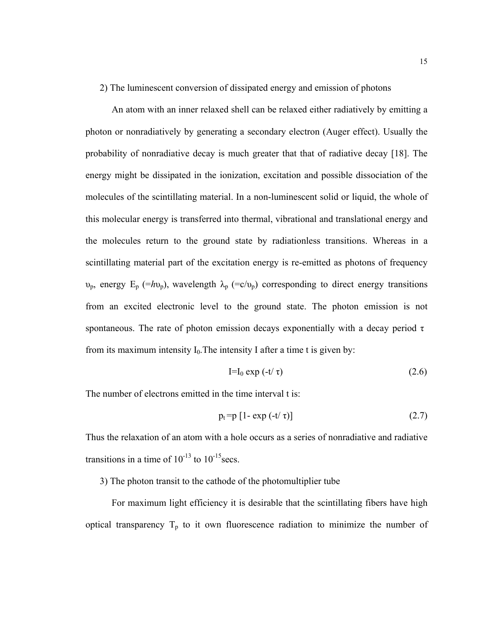2) The luminescent conversion of dissipated energy and emission of photons

 An atom with an inner relaxed shell can be relaxed either radiatively by emitting a photon or nonradiatively by generating a secondary electron (Auger effect). Usually the probability of nonradiative decay is much greater that that of radiative decay [18]. The energy might be dissipated in the ionization, excitation and possible dissociation of the molecules of the scintillating material. In a non-luminescent solid or liquid, the whole of this molecular energy is transferred into thermal, vibrational and translational energy and the molecules return to the ground state by radiationless transitions. Whereas in a scintillating material part of the excitation energy is re-emitted as photons of frequency υ<sub>p</sub>, energy E<sub>p</sub> (=hυ<sub>p</sub>), wavelength  $\lambda_p$  (=c/υ<sub>p</sub>) corresponding to direct energy transitions from an excited electronic level to the ground state. The photon emission is not spontaneous. The rate of photon emission decays exponentially with a decay period  $\tau$ from its maximum intensity  $I_0$ . The intensity I after a time t is given by:

$$
I=I_0 \exp(-t/\tau) \tag{2.6}
$$

The number of electrons emitted in the time interval t is:

$$
p_t = p [1 - \exp(-t/\tau)] \qquad (2.7)
$$

Thus the relaxation of an atom with a hole occurs as a series of nonradiative and radiative transitions in a time of  $10^{-13}$  to  $10^{-15}$  secs.

3) The photon transit to the cathode of the photomultiplier tube

 For maximum light efficiency it is desirable that the scintillating fibers have high optical transparency  $T_p$  to it own fluorescence radiation to minimize the number of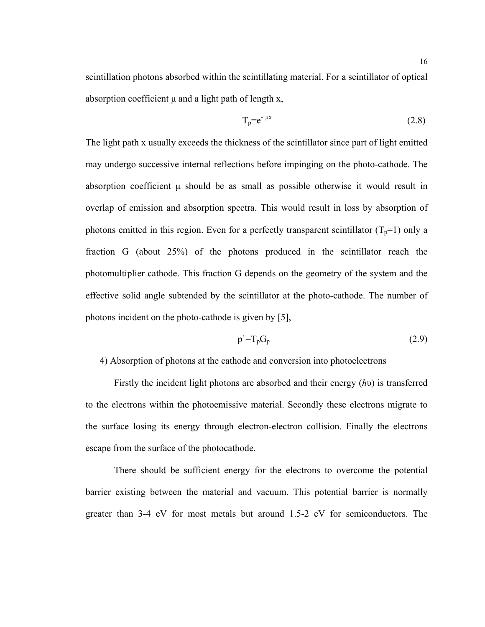scintillation photons absorbed within the scintillating material. For a scintillator of optical absorption coefficient μ and a light path of length x,

$$
T_p = e^{-\mu x} \tag{2.8}
$$

The light path x usually exceeds the thickness of the scintillator since part of light emitted may undergo successive internal reflections before impinging on the photo-cathode. The absorption coefficient  $\mu$  should be as small as possible otherwise it would result in overlap of emission and absorption spectra. This would result in loss by absorption of photons emitted in this region. Even for a perfectly transparent scintillator  $(T_p=1)$  only a fraction G (about 25%) of the photons produced in the scintillator reach the photomultiplier cathode. This fraction G depends on the geometry of the system and the effective solid angle subtended by the scintillator at the photo-cathode. The number of photons incident on the photo-cathode is given by [5],

$$
p' = T_p G_p \tag{2.9}
$$

# 4) Absorption of photons at the cathode and conversion into photoelectrons

 Firstly the incident light photons are absorbed and their energy (*h*υ) is transferred to the electrons within the photoemissive material. Secondly these electrons migrate to the surface losing its energy through electron-electron collision. Finally the electrons escape from the surface of the photocathode.

 There should be sufficient energy for the electrons to overcome the potential barrier existing between the material and vacuum. This potential barrier is normally greater than 3-4 eV for most metals but around 1.5-2 eV for semiconductors. The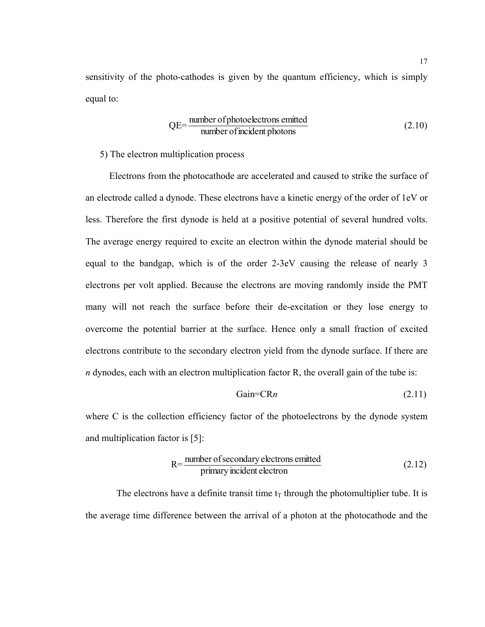sensitivity of the photo-cathodes is given by the quantum efficiency, which is simply equal to:

$$
QE = \frac{\text{number of photoelectrons emitted}}{\text{number of incident photons}}
$$
 (2.10)

5) The electron multiplication process

Electrons from the photocathode are accelerated and caused to strike the surface of an electrode called a dynode. These electrons have a kinetic energy of the order of 1eV or less. Therefore the first dynode is held at a positive potential of several hundred volts. The average energy required to excite an electron within the dynode material should be equal to the bandgap, which is of the order 2-3eV causing the release of nearly 3 electrons per volt applied. Because the electrons are moving randomly inside the PMT many will not reach the surface before their de-excitation or they lose energy to overcome the potential barrier at the surface. Hence only a small fraction of excited electrons contribute to the secondary electron yield from the dynode surface. If there are *n* dynodes, each with an electron multiplication factor R, the overall gain of the tube is:

$$
Gain=CRn \tag{2.11}
$$

where C is the collection efficiency factor of the photoelectrons by the dynode system and multiplication factor is [5]:

$$
R = \frac{\text{number of secondary electrons emitted}}{\text{primary incident electron}}\tag{2.12}
$$

The electrons have a definite transit time  $t_T$  through the photomultiplier tube. It is the average time difference between the arrival of a photon at the photocathode and the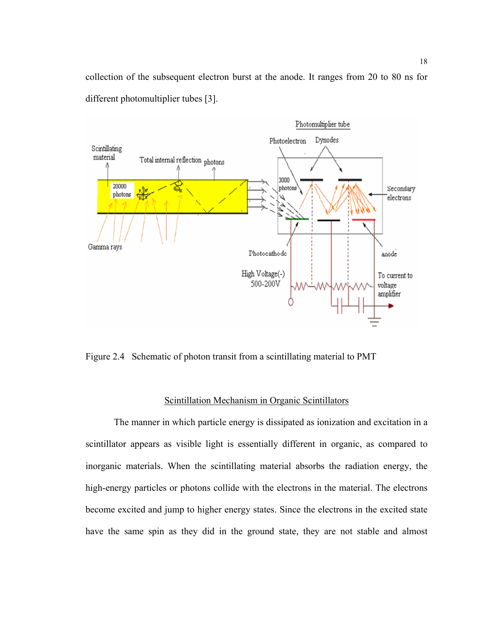collection of the subsequent electron burst at the anode. It ranges from 20 to 80 ns for different photomultiplier tubes [3].



Figure 2.4 Schematic of photon transit from a scintillating material to PMT

# Scintillation Mechanism in Organic Scintillators

The manner in which particle energy is dissipated as ionization and excitation in a scintillator appears as visible light is essentially different in organic, as compared to inorganic materials. When the scintillating material absorbs the radiation energy, the high-energy particles or photons collide with the electrons in the material. The electrons become excited and jump to higher energy states. Since the electrons in the excited state have the same spin as they did in the ground state, they are not stable and almost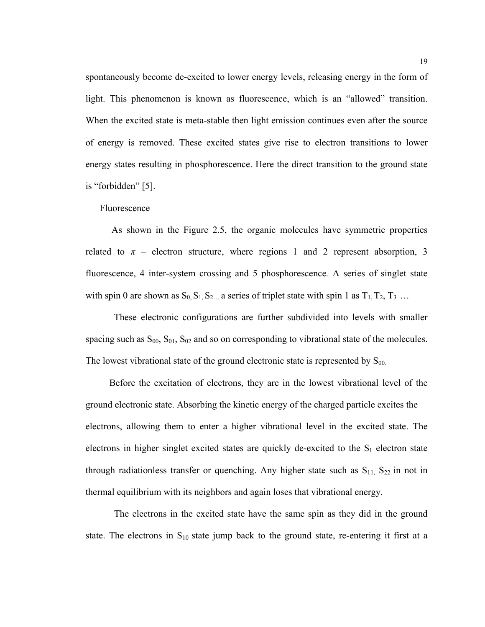spontaneously become de-excited to lower energy levels, releasing energy in the form of light. This phenomenon is known as fluorescence, which is an "allowed" transition. When the excited state is meta-stable then light emission continues even after the source of energy is removed. These excited states give rise to electron transitions to lower energy states resulting in phosphorescence. Here the direct transition to the ground state is "forbidden" [5].

Fluorescence

 As shown in the Figure 2.5, the organic molecules have symmetric properties related to  $\pi$  – electron structure, where regions 1 and 2 represent absorption, 3 fluorescence, 4 inter-system crossing and 5 phosphorescence*.* A series of singlet state with spin 0 are shown as  $S_0$ ,  $S_1$ ,  $S_2$ ... a series of triplet state with spin 1 as  $T_1$ ,  $T_2$ ,  $T_3$ ...

These electronic configurations are further subdivided into levels with smaller spacing such as  $S_{00}$ ,  $S_{01}$ ,  $S_{02}$  and so on corresponding to vibrational state of the molecules. The lowest vibrational state of the ground electronic state is represented by  $S_{00}$ .

 Before the excitation of electrons, they are in the lowest vibrational level of the ground electronic state. Absorbing the kinetic energy of the charged particle excites the electrons, allowing them to enter a higher vibrational level in the excited state. The electrons in higher singlet excited states are quickly de-excited to the  $S_1$  electron state through radiationless transfer or quenching. Any higher state such as  $S_{11}$ ,  $S_{22}$  in not in thermal equilibrium with its neighbors and again loses that vibrational energy.

 The electrons in the excited state have the same spin as they did in the ground state. The electrons in  $S_{10}$  state jump back to the ground state, re-entering it first at a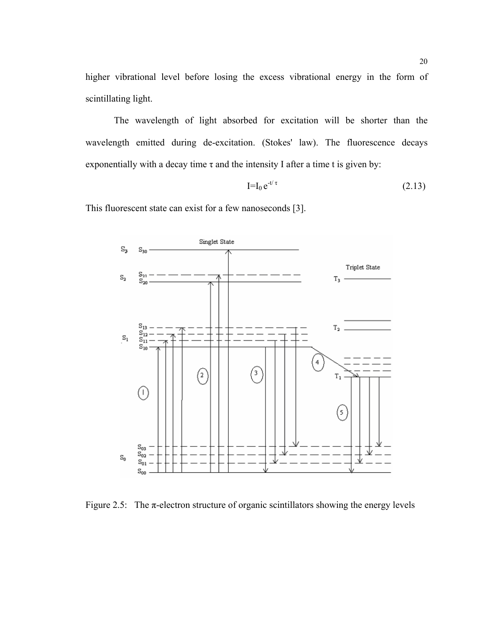higher vibrational level before losing the excess vibrational energy in the form of scintillating light.

The wavelength of light absorbed for excitation will be shorter than the wavelength emitted during de-excitation. (Stokes' law). The fluorescence decays exponentially with a decay time  $\tau$  and the intensity I after a time t is given by:

$$
\mathbf{I} = \mathbf{I}_0 e^{-t/\tau} \tag{2.13}
$$

This fluorescent state can exist for a few nanoseconds [3].



Figure 2.5: The  $\pi$ -electron structure of organic scintillators showing the energy levels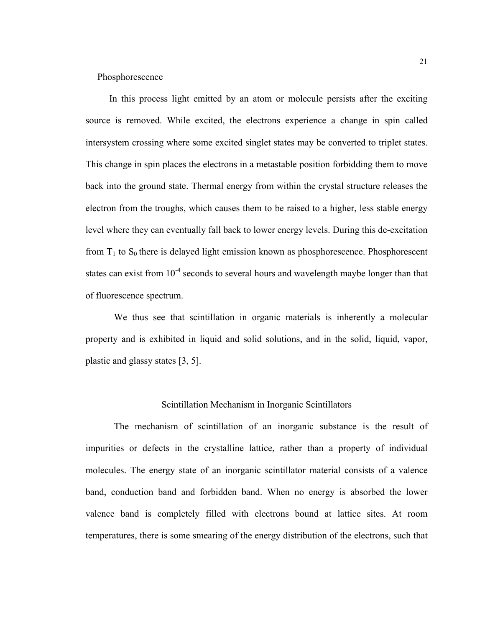Phosphorescence

 In this process light emitted by an atom or molecule persists after the exciting source is removed. While excited, the electrons experience a change in spin called intersystem crossing where some excited singlet states may be converted to triplet states. This change in spin places the electrons in a metastable position forbidding them to move back into the ground state. Thermal energy from within the crystal structure releases the electron from the troughs, which causes them to be raised to a higher, less stable energy level where they can eventually fall back to lower energy levels. During this de-excitation from  $T_1$  to  $S_0$  there is delayed light emission known as phosphorescence. Phosphorescent states can exist from  $10^{-4}$  seconds to several hours and wavelength maybe longer than that of fluorescence spectrum.

We thus see that scintillation in organic materials is inherently a molecular property and is exhibited in liquid and solid solutions, and in the solid, liquid, vapor, plastic and glassy states [3, 5].

# Scintillation Mechanism in Inorganic Scintillators

The mechanism of scintillation of an inorganic substance is the result of impurities or defects in the crystalline lattice, rather than a property of individual molecules. The energy state of an inorganic scintillator material consists of a valence band, conduction band and forbidden band. When no energy is absorbed the lower valence band is completely filled with electrons bound at lattice sites. At room temperatures, there is some smearing of the energy distribution of the electrons, such that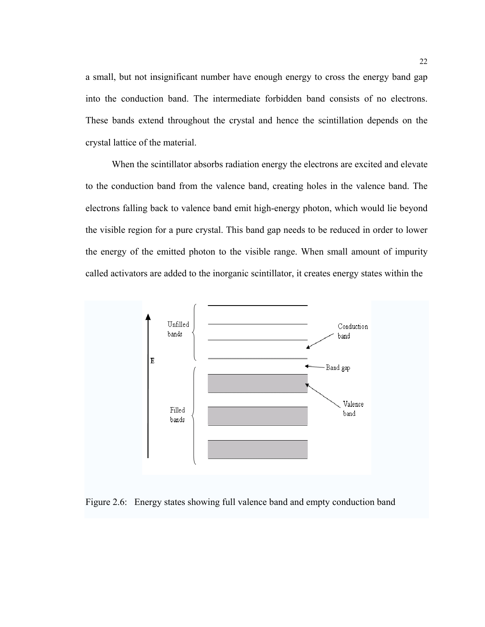a small, but not insignificant number have enough energy to cross the energy band gap into the conduction band. The intermediate forbidden band consists of no electrons. These bands extend throughout the crystal and hence the scintillation depends on the crystal lattice of the material.

 When the scintillator absorbs radiation energy the electrons are excited and elevate to the conduction band from the valence band, creating holes in the valence band. The electrons falling back to valence band emit high-energy photon, which would lie beyond the visible region for a pure crystal. This band gap needs to be reduced in order to lower the energy of the emitted photon to the visible range. When small amount of impurity called activators are added to the inorganic scintillator, it creates energy states within the



Figure 2.6: Energy states showing full valence band and empty conduction band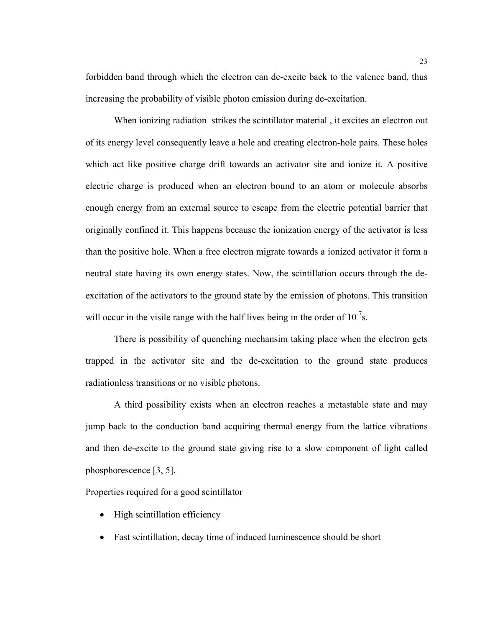forbidden band through which the electron can de-excite back to the valence band, thus increasing the probability of visible photon emission during de-excitation.

When ionizing radiation strikes the scintillator material , it excites an electron out of its energy level consequently leave a hole and creating electron-hole pairs*.* These holes which act like positive charge drift towards an activator site and ionize it. A positive electric charge is produced when an electron bound to an atom or molecule absorbs enough energy from an external source to escape from the electric potential barrier that originally confined it. This happens because the ionization energy of the activator is less than the positive hole. When a free electron migrate towards a ionized activator it form a neutral state having its own energy states. Now, the scintillation occurs through the deexcitation of the activators to the ground state by the emission of photons. This transition will occur in the visile range with the half lives being in the order of  $10^{-7}$ s.

There is possibility of quenching mechansim taking place when the electron gets trapped in the activator site and the de-excitation to the ground state produces radiationless transitions or no visible photons.

A third possibility exists when an electron reaches a metastable state and may jump back to the conduction band acquiring thermal energy from the lattice vibrations and then de-excite to the ground state giving rise to a slow component of light called phosphorescence [3, 5].

Properties required for a good scintillator

- High scintillation efficiency
- Fast scintillation, decay time of induced luminescence should be short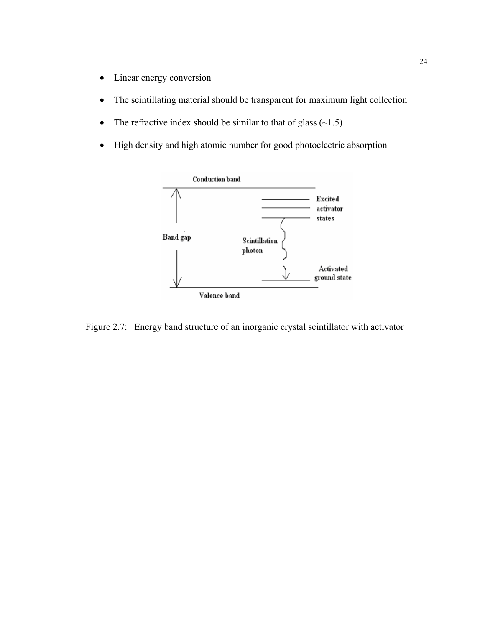- Linear energy conversion
- The scintillating material should be transparent for maximum light collection
- The refractive index should be similar to that of glass  $(\sim 1.5)$
- High density and high atomic number for good photoelectric absorption



Figure 2.7: Energy band structure of an inorganic crystal scintillator with activator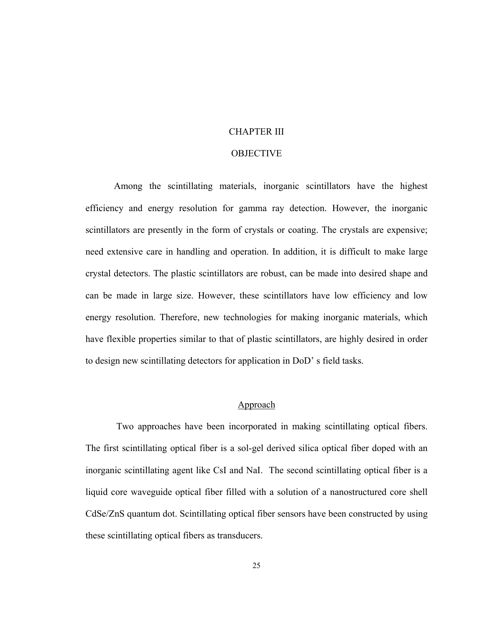### CHAPTER III

# **OBJECTIVE**

Among the scintillating materials, inorganic scintillators have the highest efficiency and energy resolution for gamma ray detection. However, the inorganic scintillators are presently in the form of crystals or coating. The crystals are expensive; need extensive care in handling and operation. In addition, it is difficult to make large crystal detectors. The plastic scintillators are robust, can be made into desired shape and can be made in large size. However, these scintillators have low efficiency and low energy resolution. Therefore, new technologies for making inorganic materials, which have flexible properties similar to that of plastic scintillators, are highly desired in order to design new scintillating detectors for application in DoD' s field tasks.

# Approach

Two approaches have been incorporated in making scintillating optical fibers. The first scintillating optical fiber is a sol-gel derived silica optical fiber doped with an inorganic scintillating agent like CsI and NaI. The second scintillating optical fiber is a liquid core waveguide optical fiber filled with a solution of a nanostructured core shell CdSe/ZnS quantum dot. Scintillating optical fiber sensors have been constructed by using these scintillating optical fibers as transducers.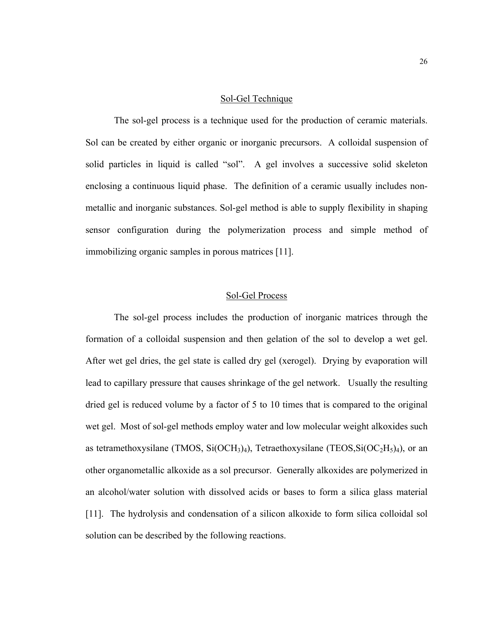#### Sol-Gel Technique

 The sol-gel process is a technique used for the production of ceramic materials. Sol can be created by either organic or inorganic precursors. A colloidal suspension of solid particles in liquid is called "sol". A gel involves a successive solid skeleton enclosing a continuous liquid phase. The definition of a ceramic usually includes nonmetallic and inorganic substances. Sol-gel method is able to supply flexibility in shaping sensor configuration during the polymerization process and simple method of immobilizing organic samples in porous matrices [11].

# Sol-Gel Process

The sol-gel process includes the production of inorganic matrices through the formation of a colloidal suspension and then gelation of the sol to develop a wet gel. After wet gel dries, the gel state is called dry gel (xerogel). Drying by evaporation will lead to capillary pressure that causes shrinkage of the gel network. Usually the resulting dried gel is reduced volume by a factor of 5 to 10 times that is compared to the original wet gel. Most of sol-gel methods employ water and low molecular weight alkoxides such as tetramethoxysilane (TMOS,  $Si(OCH<sub>3</sub>)<sub>4</sub>$ ), Tetraethoxysilane (TEOS,  $Si(OC<sub>2</sub>H<sub>5</sub>)<sub>4</sub>$ ), or an other organometallic alkoxide as a sol precursor. Generally alkoxides are polymerized in an alcohol/water solution with dissolved acids or bases to form a silica glass material [11]. The hydrolysis and condensation of a silicon alkoxide to form silica colloidal sol solution can be described by the following reactions.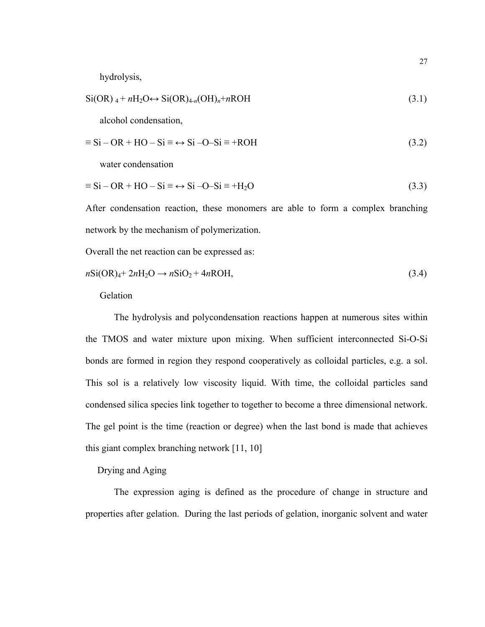hydrolysis,

$$
Si(OR)_{4} + nH_{2}O \leftrightarrow Si(OR)_{4-n}(OH)_{n} + nROH
$$
\n(3.1)

alcohol condensation,

$$
\equiv \text{Si} - \text{OR} + \text{HO} - \text{Si} \equiv \leftrightarrow \text{Si} - \text{O} - \text{Si} \equiv + \text{ROH} \tag{3.2}
$$

water condensation

$$
\equiv Si - OR + HO - Si \equiv \leftrightarrow Si - O - Si \equiv +H_2O \tag{3.3}
$$

After condensation reaction, these monomers are able to form a complex branching network by the mechanism of polymerization.

Overall the net reaction can be expressed as:

$$
nSi(OR)4+2nH2O \rightarrow nSiO2+4nROH,
$$
\n(3.4)

Gelation

The hydrolysis and polycondensation reactions happen at numerous sites within the TMOS and water mixture upon mixing. When sufficient interconnected Si-O-Si bonds are formed in region they respond cooperatively as colloidal particles, e.g. a sol. This sol is a relatively low viscosity liquid. With time, the colloidal particles sand condensed silica species link together to together to become a three dimensional network. The gel point is the time (reaction or degree) when the last bond is made that achieves this giant complex branching network [11, 10]

# Drying and Aging

The expression aging is defined as the procedure of change in structure and properties after gelation. During the last periods of gelation, inorganic solvent and water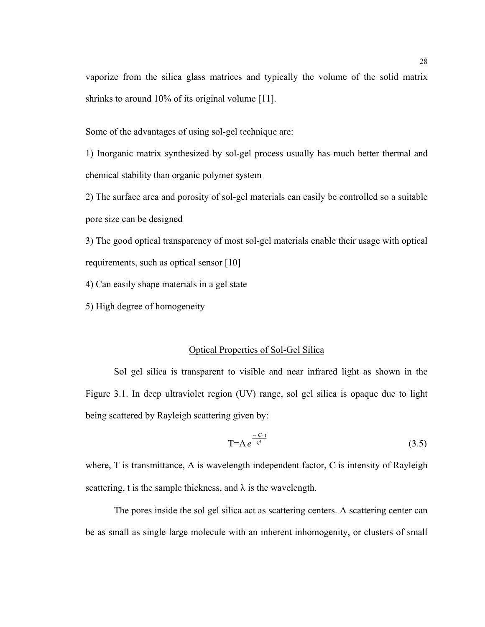vaporize from the silica glass matrices and typically the volume of the solid matrix shrinks to around 10% of its original volume [11].

Some of the advantages of using sol-gel technique are:

1) Inorganic matrix synthesized by sol-gel process usually has much better thermal and chemical stability than organic polymer system

2) The surface area and porosity of sol-gel materials can easily be controlled so a suitable pore size can be designed

3) The good optical transparency of most sol-gel materials enable their usage with optical requirements, such as optical sensor [10]

4) Can easily shape materials in a gel state

5) High degree of homogeneity

# Optical Properties of Sol-Gel Silica

Sol gel silica is transparent to visible and near infrared light as shown in the Figure 3.1. In deep ultraviolet region (UV) range, sol gel silica is opaque due to light being scattered by Rayleigh scattering given by:

$$
T=Ae^{\frac{-C\cdot t}{\lambda^4}}\tag{3.5}
$$

where, T is transmittance, A is wavelength independent factor, C is intensity of Rayleigh scattering, t is the sample thickness, and  $\lambda$  is the wavelength.

 The pores inside the sol gel silica act as scattering centers. A scattering center can be as small as single large molecule with an inherent inhomogenity, or clusters of small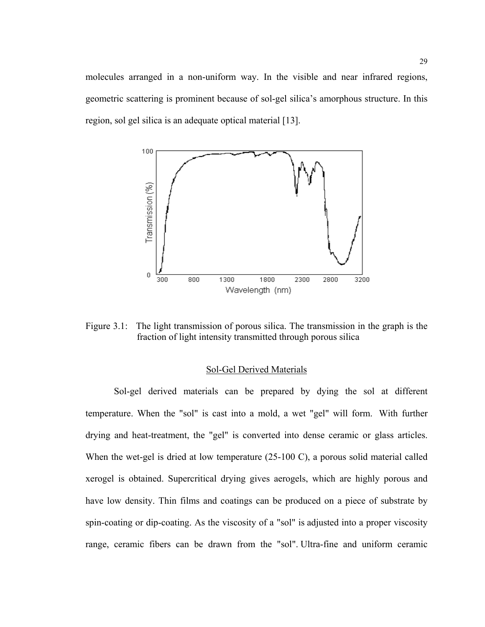molecules arranged in a non-uniform way. In the visible and near infrared regions, geometric scattering is prominent because of sol-gel silica's amorphous structure. In this region, sol gel silica is an adequate optical material [13].



Figure 3.1: The light transmission of porous silica. The transmission in the graph is the fraction of light intensity transmitted through porous silica

# Sol-Gel Derived Materials

Sol-gel derived materials can be prepared by dying the sol at different temperature. When the "sol" is cast into a mold, a wet "gel" will form. With further drying and heat-treatment, the "gel" is converted into dense ceramic or glass articles. When the wet-gel is dried at low temperature (25-100 C), a porous solid material called xerogel is obtained. Supercritical drying gives aerogels, which are highly porous and have low density. Thin films and coatings can be produced on a piece of substrate by spin-coating or dip-coating. As the viscosity of a "sol" is adjusted into a proper viscosity range, ceramic fibers can be drawn from the "sol". Ultra-fine and uniform ceramic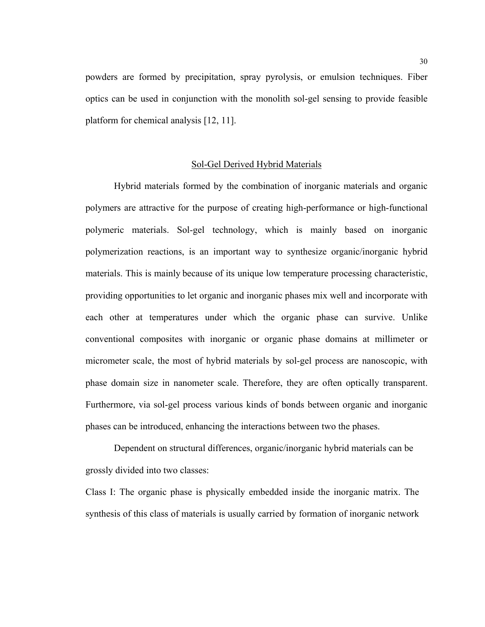powders are formed by precipitation, spray pyrolysis, or emulsion techniques. Fiber optics can be used in conjunction with the monolith sol-gel sensing to provide feasible platform for chemical analysis [12, 11].

#### Sol-Gel Derived Hybrid Materials

Hybrid materials formed by the combination of inorganic materials and organic polymers are attractive for the purpose of creating high-performance or high-functional polymeric materials. Sol-gel technology, which is mainly based on inorganic polymerization reactions, is an important way to synthesize organic/inorganic hybrid materials. This is mainly because of its unique low temperature processing characteristic, providing opportunities to let organic and inorganic phases mix well and incorporate with each other at temperatures under which the organic phase can survive. Unlike conventional composites with inorganic or organic phase domains at millimeter or micrometer scale, the most of hybrid materials by sol-gel process are nanoscopic, with phase domain size in nanometer scale. Therefore, they are often optically transparent. Furthermore, via sol-gel process various kinds of bonds between organic and inorganic phases can be introduced, enhancing the interactions between two the phases.

Dependent on structural differences, organic/inorganic hybrid materials can be grossly divided into two classes:

Class I: The organic phase is physically embedded inside the inorganic matrix. The synthesis of this class of materials is usually carried by formation of inorganic network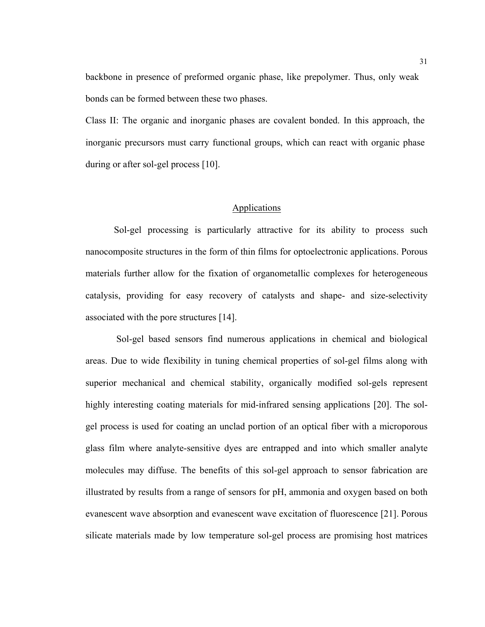backbone in presence of preformed organic phase, like prepolymer. Thus, only weak bonds can be formed between these two phases.

Class II: The organic and inorganic phases are covalent bonded. In this approach, the inorganic precursors must carry functional groups, which can react with organic phase during or after sol-gel process [10].

# **Applications**

Sol-gel processing is particularly attractive for its ability to process such nanocomposite structures in the form of thin films for optoelectronic applications. Porous materials further allow for the fixation of organometallic complexes for heterogeneous catalysis, providing for easy recovery of catalysts and shape- and size-selectivity associated with the pore structures [14].

 Sol-gel based sensors find numerous applications in chemical and biological areas. Due to wide flexibility in tuning chemical properties of sol-gel films along with superior mechanical and chemical stability, organically modified sol-gels represent highly interesting coating materials for mid-infrared sensing applications [20]. The solgel process is used for coating an unclad portion of an optical fiber with a microporous glass film where analyte-sensitive dyes are entrapped and into which smaller analyte molecules may diffuse. The benefits of this sol-gel approach to sensor fabrication are illustrated by results from a range of sensors for pH, ammonia and oxygen based on both evanescent wave absorption and evanescent wave excitation of fluorescence [21]. Porous silicate materials made by low temperature sol-gel process are promising host matrices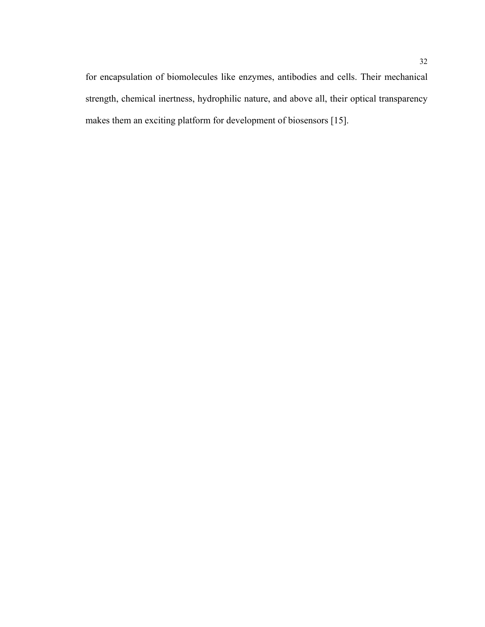for encapsulation of biomolecules like enzymes, antibodies and cells. Their mechanical strength, chemical inertness, hydrophilic nature, and above all, their optical transparency makes them an exciting platform for development of biosensors [15].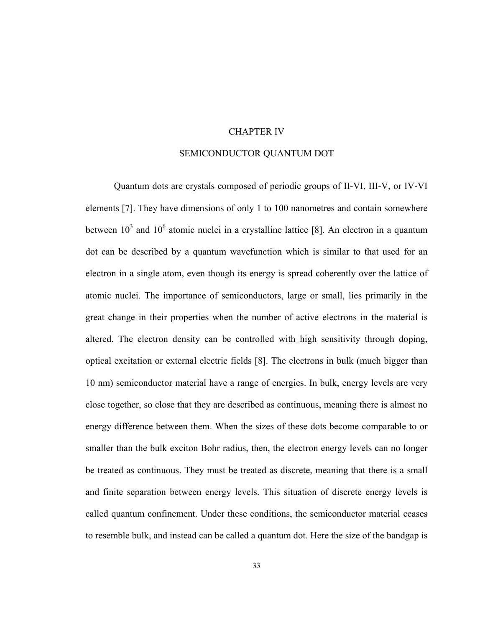## CHAPTER IV

# SEMICONDUCTOR QUANTUM DOT

Quantum dots are crystals composed of periodic groups of [II-VI, III-V, or IV-VI](http://www.evidenttech.com/qdot-definition/quantum-dot-glossary.php#comp) elements [7]. They have dimensions of only 1 to 100 nanometres and contain somewhere between  $10^3$  and  $10^6$  atomic nuclei in a crystalline lattice [8]. An electron in a quantum dot can be described by a quantum wavefunction which is similar to that used for an electron in a single atom, even though its energy is spread coherently over the lattice of atomic nuclei. The importance of semiconductors, large or small, lies primarily in the great change in their properties when the number of active electrons in the material is altered. The electron density can be controlled with high sensitivity through doping, optical excitation or external electric fields [8]. The electrons in bulk (much bigger than 10 nm) semiconductor material have a range of energies. In bulk, energy levels are very close together, so close that they are described as [continuous,](http://www.evidenttech.com/qdot-definition/quantum-dot-glossary.php#continuous) meaning there is almost no energy difference between them. When the sizes of these dots become comparable to or smaller than the bulk exciton Bohr radius, then, the electron energy levels can no longer be treated as continuous. They must be treated as [discrete](http://www.evidenttech.com/qdot-definition/quantum-dot-glossary.php#discrete), meaning that there is a small and finite separation between energy levels. This situation of discrete energy levels is called [quantum confinement](http://www.evidenttech.com/qdot-definition/quantum-dot-glossary.php#confine). Under these conditions, the semiconductor material ceases to resemble bulk, and instead can be called a quantum dot. Here the size of the bandgap is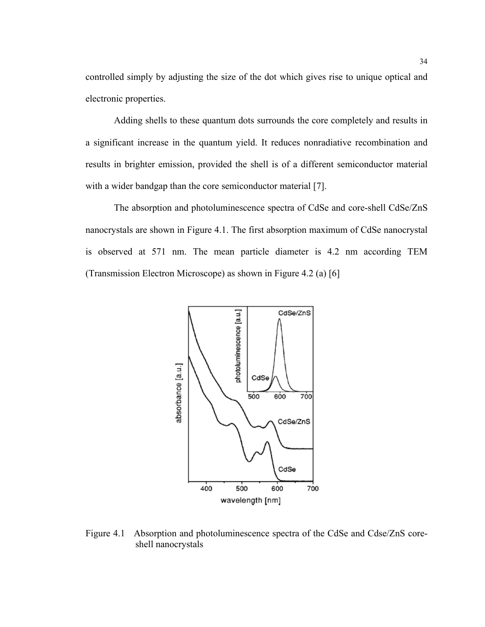controlled simply by adjusting the size of the dot which gives rise to unique optical and electronic properties.

Adding shells to these quantum dots surrounds the core completely and results in a significant increase in the quantum yield. It reduces nonradiative recombination and results in brighter emission, provided the shell is of a different semiconductor material with a wider bandgap than the core semiconductor material [7].

The absorption and photoluminescence spectra of CdSe and core-shell CdSe/ZnS nanocrystals are shown in Figure 4.1. The first absorption maximum of CdSe nanocrystal is observed at 571 nm. The mean particle diameter is 4.2 nm according TEM (Transmission Electron Microscope) as shown in Figure 4.2 (a) [6]



Figure 4.1 Absorption and photoluminescence spectra of the CdSe and Cdse/ZnS coreshell nanocrystals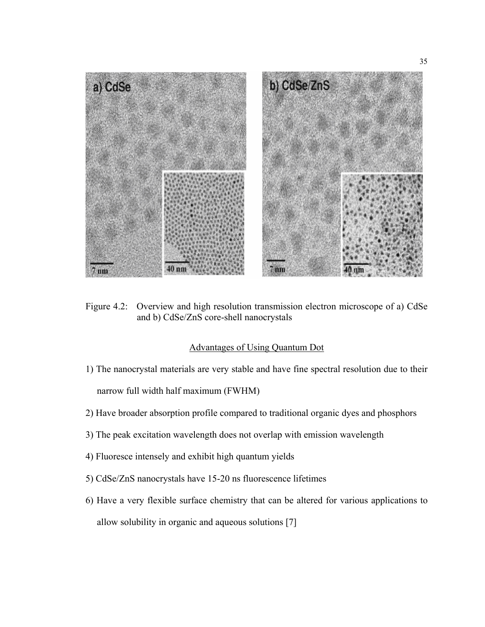

Figure 4.2: Overview and high resolution transmission electron microscope of a) CdSe and b) CdSe/ZnS core-shell nanocrystals

## Advantages of Using Quantum Dot

1) The nanocrystal materials are very stable and have fine spectral resolution due to their

narrow full width half maximum (FWHM)

- 2) Have broader absorption profile compared to traditional organic dyes and phosphors
- 3) The peak excitation wavelength does not overlap with emission wavelength
- 4) Fluoresce intensely and exhibit high quantum yields
- 5) CdSe/ZnS nanocrystals have 15-20 ns fluorescence lifetimes
- 6) Have a very flexible surface chemistry that can be altered for various applications to allow solubility in organic and aqueous solutions [7]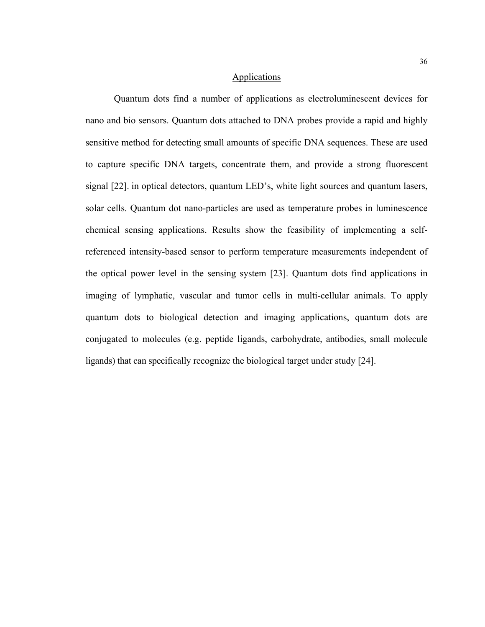## **Applications**

Quantum dots find a number of applications as electroluminescent devices for nano and bio sensors. Quantum dots attached to DNA probes provide a rapid and highly sensitive method for detecting small amounts of specific DNA sequences. These are used to capture specific DNA targets, concentrate them, and provide a strong fluorescent signal [22]. in optical detectors, quantum LED's, white light sources and quantum lasers, solar cells. Quantum dot nano-particles are used as temperature probes in luminescence chemical sensing applications. Results show the feasibility of implementing a selfreferenced intensity-based sensor to perform temperature measurements independent of the optical power level in the sensing system [23]. Quantum dots find applications in imaging of lymphatic, vascular and tumor cells in multi-cellular animals. To apply quantum dots to biological detection and imaging applications, quantum dots are conjugated to molecules (e.g. peptide ligands, carbohydrate, antibodies, small molecule ligands) that can specifically recognize the biological target under study [24].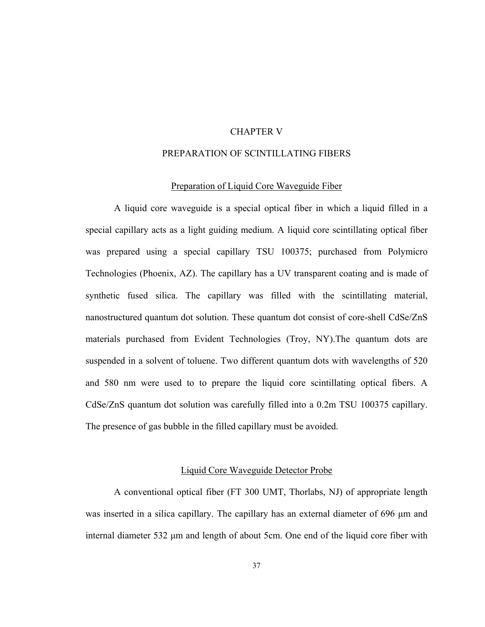# CHAPTER V

# PREPARATION OF SCINTILLATING FIBERS

#### Preparation of Liquid Core Waveguide Fiber

 A liquid core waveguide is a special optical fiber in which a liquid filled in a special capillary acts as a light guiding medium. A liquid core scintillating optical fiber was prepared using a special capillary TSU 100375; purchased from Polymicro Technologies (Phoenix, AZ). The capillary has a UV transparent coating and is made of synthetic fused silica. The capillary was filled with the scintillating material, nanostructured quantum dot solution. These quantum dot consist of core-shell CdSe/ZnS materials purchased from Evident Technologies (Troy, NY).The quantum dots are suspended in a solvent of toluene. Two different quantum dots with wavelengths of 520 and 580 nm were used to to prepare the liquid core scintillating optical fibers. A CdSe/ZnS quantum dot solution was carefully filled into a 0.2m TSU 100375 capillary. The presence of gas bubble in the filled capillary must be avoided.

# Liquid Core Waveguide Detector Probe

 A conventional optical fiber (FT 300 UMT, Thorlabs, NJ) of appropriate length was inserted in a silica capillary. The capillary has an external diameter of 696 μm and internal diameter 532 μm and length of about 5cm. One end of the liquid core fiber with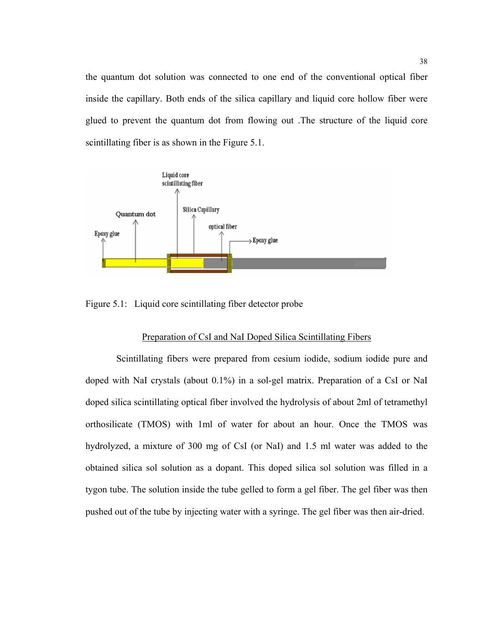the quantum dot solution was connected to one end of the conventional optical fiber inside the capillary. Both ends of the silica capillary and liquid core hollow fiber were glued to prevent the quantum dot from flowing out .The structure of the liquid core scintillating fiber is as shown in the Figure 5.1.



Figure 5.1: Liquid core scintillating fiber detector probe

#### Preparation of CsI and NaI Doped Silica Scintillating Fibers

 Scintillating fibers were prepared from cesium iodide, sodium iodide pure and doped with NaI crystals (about 0.1%) in a sol-gel matrix. Preparation of a CsI or NaI doped silica scintillating optical fiber involved the hydrolysis of about 2ml of tetramethyl orthosilicate (TMOS) with 1ml of water for about an hour. Once the TMOS was hydrolyzed, a mixture of 300 mg of CsI (or NaI) and 1.5 ml water was added to the obtained silica sol solution as a dopant. This doped silica sol solution was filled in a tygon tube. The solution inside the tube gelled to form a gel fiber. The gel fiber was then pushed out of the tube by injecting water with a syringe. The gel fiber was then air-dried.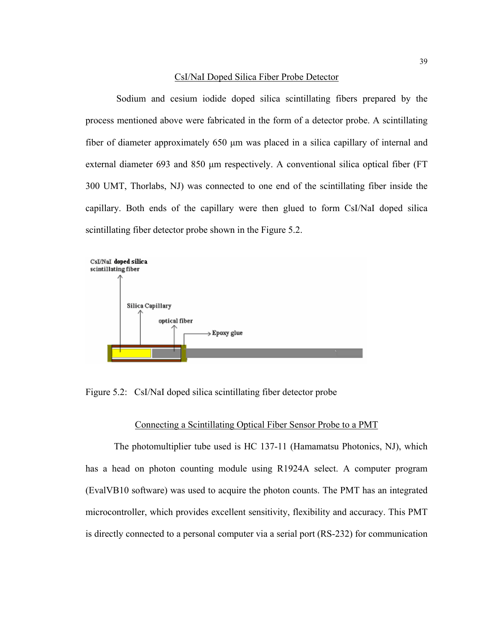#### CsI/NaI Doped Silica Fiber Probe Detector

 Sodium and cesium iodide doped silica scintillating fibers prepared by the process mentioned above were fabricated in the form of a detector probe. A scintillating fiber of diameter approximately 650 μm was placed in a silica capillary of internal and external diameter 693 and 850 μm respectively. A conventional silica optical fiber (FT 300 UMT, Thorlabs, NJ) was connected to one end of the scintillating fiber inside the capillary. Both ends of the capillary were then glued to form CsI/NaI doped silica scintillating fiber detector probe shown in the Figure 5.2.



Figure 5.2: CsI/NaI doped silica scintillating fiber detector probe

## Connecting a Scintillating Optical Fiber Sensor Probe to a PMT

The photomultiplier tube used is HC 137-11 (Hamamatsu Photonics, NJ), which has a head on photon counting module using R1924A select. A computer program (EvalVB10 software) was used to acquire the photon counts. The PMT has an integrated microcontroller, which provides excellent sensitivity, flexibility and accuracy. This PMT is directly connected to a personal computer via a serial port (RS-232) for communication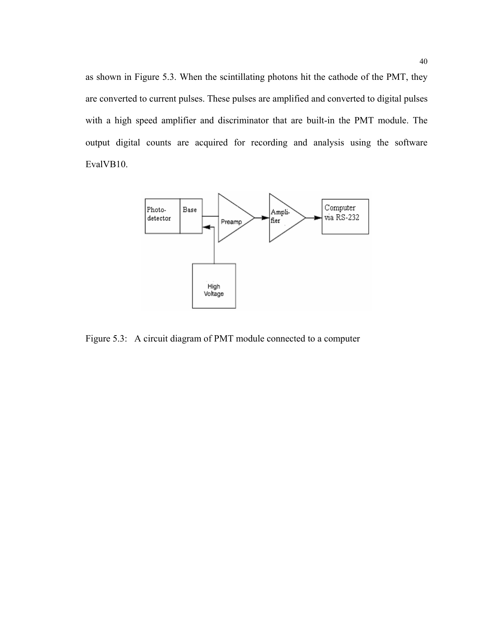as shown in Figure 5.3. When the scintillating photons hit the cathode of the PMT, they are converted to current pulses. These pulses are amplified and converted to digital pulses with a high speed amplifier and discriminator that are built-in the PMT module. The output digital counts are acquired for recording and analysis using the software EvalVB10.



Figure 5.3: A circuit diagram of PMT module connected to a computer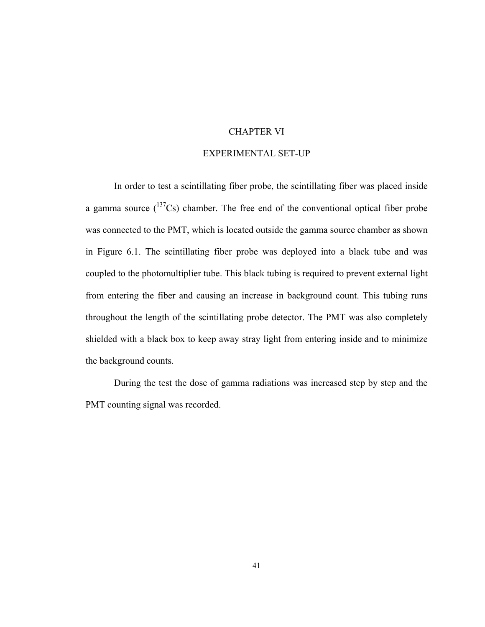# CHAPTER VI

# EXPERIMENTAL SET-UP

In order to test a scintillating fiber probe, the scintillating fiber was placed inside a gamma source  $(^{137}Cs)$  chamber. The free end of the conventional optical fiber probe was connected to the PMT, which is located outside the gamma source chamber as shown in Figure 6.1. The scintillating fiber probe was deployed into a black tube and was coupled to the photomultiplier tube. This black tubing is required to prevent external light from entering the fiber and causing an increase in background count. This tubing runs throughout the length of the scintillating probe detector. The PMT was also completely shielded with a black box to keep away stray light from entering inside and to minimize the background counts.

During the test the dose of gamma radiations was increased step by step and the PMT counting signal was recorded.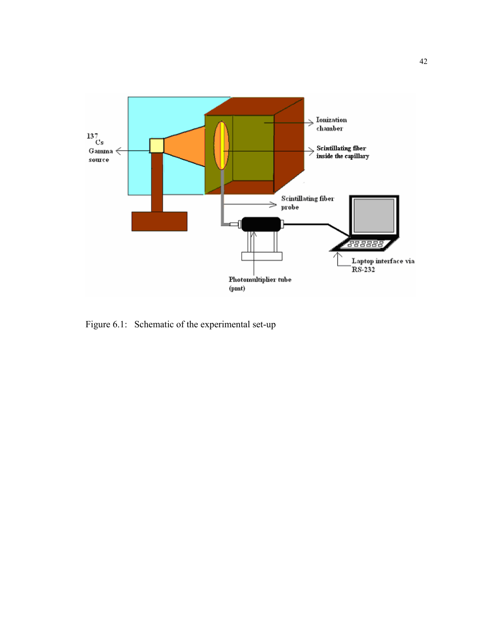

Figure 6.1: Schematic of the experimental set-up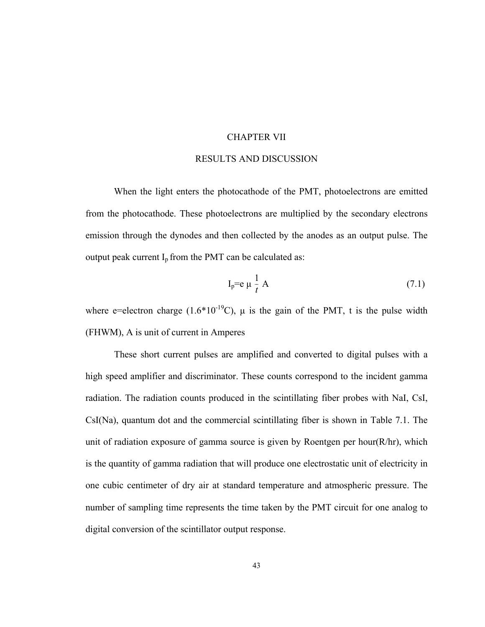# CHAPTER VII

### RESULTS AND DISCUSSION

When the light enters the photocathode of the PMT, photoelectrons are emitted from the photocathode. These photoelectrons are multiplied by the secondary electrons emission through the dynodes and then collected by the anodes as an output pulse. The output peak current  $I_p$  from the PMT can be calculated as:

$$
I_p = e \mu \frac{1}{t} A \tag{7.1}
$$

where e=electron charge  $(1.6*10^{-19}C)$ ,  $\mu$  is the gain of the PMT, t is the pulse width (FHWM), A is unit of current in Amperes

 These short current pulses are amplified and converted to digital pulses with a high speed amplifier and discriminator. These counts correspond to the incident gamma radiation. The radiation counts produced in the scintillating fiber probes with NaI, CsI, CsI(Na), quantum dot and the commercial scintillating fiber is shown in Table 7.1. The unit of radiation exposure of gamma source is given by Roentgen per hour(R/hr), which is the quantity of gamma radiation that will produce one electrostatic unit of electricity in one cubic centimeter of dry air at standard temperature and atmospheric pressure. The number of sampling time represents the time taken by the PMT circuit for one analog to digital conversion of the scintillator output response.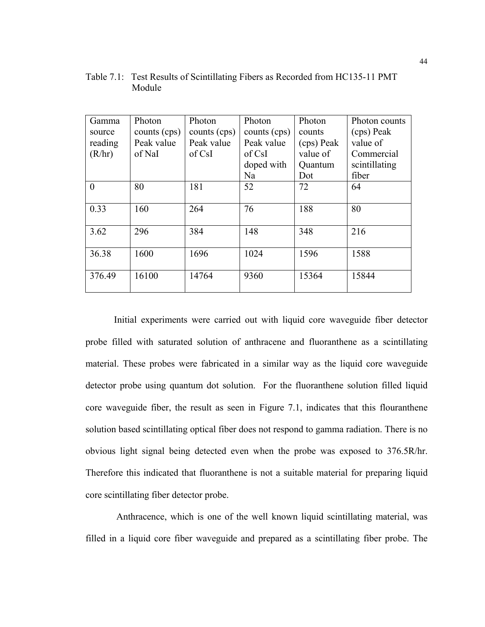| Gamma    | Photon       | Photon       | Photon       | Photon     | Photon counts |
|----------|--------------|--------------|--------------|------------|---------------|
| source   | counts (cps) | counts (cps) | counts (cps) | counts     | (cps) Peak    |
| reading  | Peak value   | Peak value   | Peak value   | (cps) Peak | value of      |
| (R/hr)   | of NaI       | of CsI       | of CsI       | value of   | Commercial    |
|          |              |              | doped with   | Quantum    | scintillating |
|          |              |              | Na           | Dot        | fiber         |
| $\theta$ | 80           | 181          | 52           | 72         | 64            |
|          |              |              |              |            |               |
| 0.33     | 160          | 264          | 76           | 188        | 80            |
|          |              |              |              |            |               |
| 3.62     | 296          | 384          | 148          | 348        | 216           |
|          |              |              |              |            |               |
| 36.38    | 1600         | 1696         | 1024         | 1596       | 1588          |
|          |              |              |              |            |               |
| 376.49   | 16100        | 14764        | 9360         | 15364      | 15844         |
|          |              |              |              |            |               |

Table 7.1: Test Results of Scintillating Fibers as Recorded from HC135-11 PMT Module

Initial experiments were carried out with liquid core waveguide fiber detector probe filled with saturated solution of anthracene and fluoranthene as a scintillating material. These probes were fabricated in a similar way as the liquid core waveguide detector probe using quantum dot solution. For the fluoranthene solution filled liquid core waveguide fiber, the result as seen in Figure 7.1, indicates that this flouranthene solution based scintillating optical fiber does not respond to gamma radiation. There is no obvious light signal being detected even when the probe was exposed to 376.5R/hr. Therefore this indicated that fluoranthene is not a suitable material for preparing liquid core scintillating fiber detector probe.

 Anthracence, which is one of the well known liquid scintillating material, was filled in a liquid core fiber waveguide and prepared as a scintillating fiber probe. The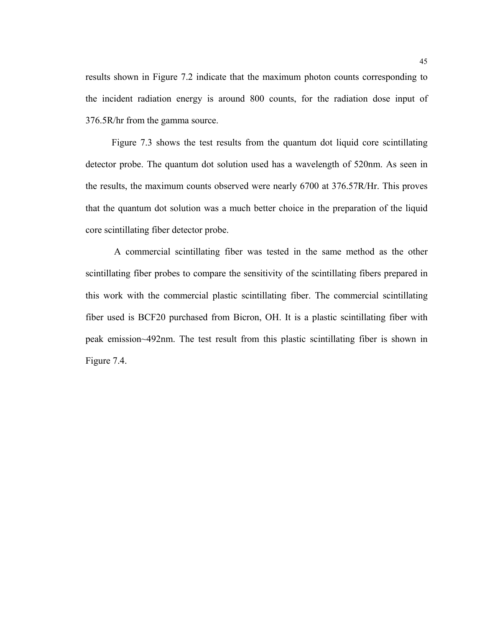results shown in Figure 7.2 indicate that the maximum photon counts corresponding to the incident radiation energy is around 800 counts, for the radiation dose input of 376.5R/hr from the gamma source.

 Figure 7.3 shows the test results from the quantum dot liquid core scintillating detector probe. The quantum dot solution used has a wavelength of 520nm. As seen in the results, the maximum counts observed were nearly 6700 at 376.57R/Hr. This proves that the quantum dot solution was a much better choice in the preparation of the liquid core scintillating fiber detector probe.

 A commercial scintillating fiber was tested in the same method as the other scintillating fiber probes to compare the sensitivity of the scintillating fibers prepared in this work with the commercial plastic scintillating fiber. The commercial scintillating fiber used is BCF20 purchased from Bicron, OH. It is a plastic scintillating fiber with peak emission~492nm. The test result from this plastic scintillating fiber is shown in Figure 7.4.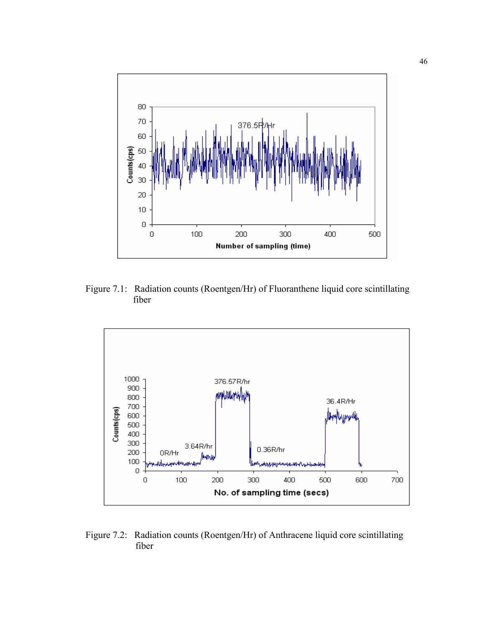

Figure 7.1: Radiation counts (Roentgen/Hr) of Fluoranthene liquid core scintillating fiber



Figure 7.2: Radiation counts (Roentgen/Hr) of Anthracene liquid core scintillating fiber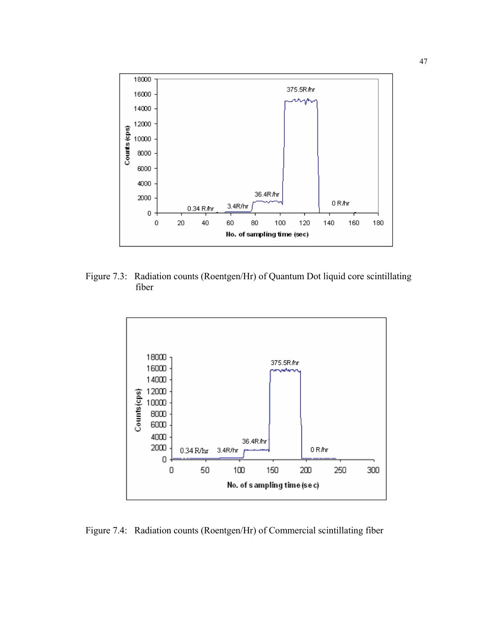

Figure 7.3: Radiation counts (Roentgen/Hr) of Quantum Dot liquid core scintillating fiber



Figure 7.4: Radiation counts (Roentgen/Hr) of Commercial scintillating fiber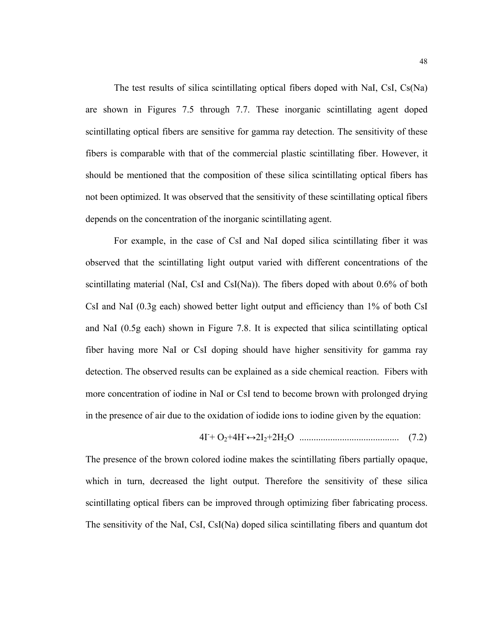The test results of silica scintillating optical fibers doped with NaI, CsI, Cs(Na) are shown in Figures 7.5 through 7.7. These inorganic scintillating agent doped scintillating optical fibers are sensitive for gamma ray detection. The sensitivity of these fibers is comparable with that of the commercial plastic scintillating fiber. However, it should be mentioned that the composition of these silica scintillating optical fibers has not been optimized. It was observed that the sensitivity of these scintillating optical fibers depends on the concentration of the inorganic scintillating agent.

For example, in the case of CsI and NaI doped silica scintillating fiber it was observed that the scintillating light output varied with different concentrations of the scintillating material (NaI, CsI and CsI(Na)). The fibers doped with about 0.6% of both CsI and NaI (0.3g each) showed better light output and efficiency than 1% of both CsI and NaI (0.5g each) shown in Figure 7.8. It is expected that silica scintillating optical fiber having more NaI or CsI doping should have higher sensitivity for gamma ray detection. The observed results can be explained as a side chemical reaction. Fibers with more concentration of iodine in NaI or CsI tend to become brown with prolonged drying in the presence of air due to the oxidation of iodide ions to iodine given by the equation:

$$
4I + O_2 + 4H \leftrightarrow 2I_2 + 2H_2O \quad \dots \dots \dots \dots \dots \dots \dots \dots \dots \dots \dots \dots \dots \tag{7.2}
$$

The presence of the brown colored iodine makes the scintillating fibers partially opaque, which in turn, decreased the light output. Therefore the sensitivity of these silica scintillating optical fibers can be improved through optimizing fiber fabricating process. The sensitivity of the NaI, CsI, CsI(Na) doped silica scintillating fibers and quantum dot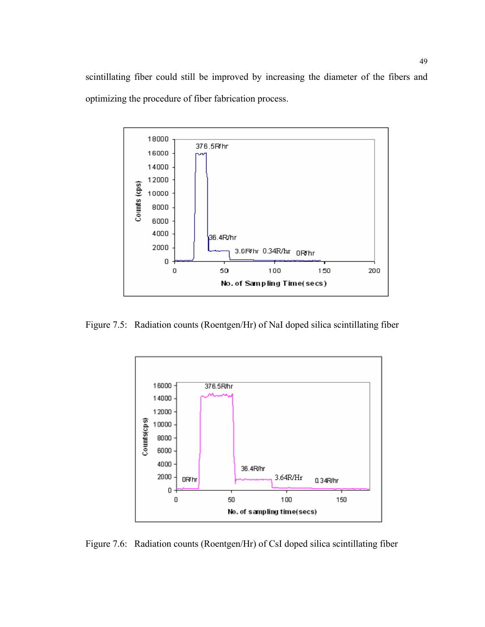scintillating fiber could still be improved by increasing the diameter of the fibers and optimizing the procedure of fiber fabrication process.



Figure 7.5: Radiation counts (Roentgen/Hr) of NaI doped silica scintillating fiber



Figure 7.6: Radiation counts (Roentgen/Hr) of CsI doped silica scintillating fiber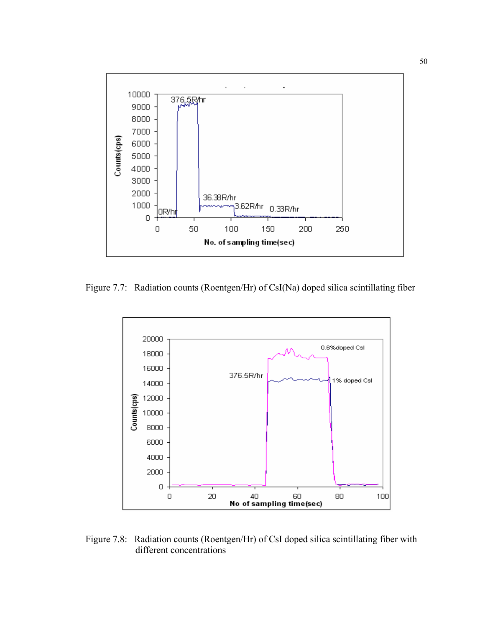

Figure 7.7: Radiation counts (Roentgen/Hr) of CsI(Na) doped silica scintillating fiber



Figure 7.8: Radiation counts (Roentgen/Hr) of CsI doped silica scintillating fiber with different concentrations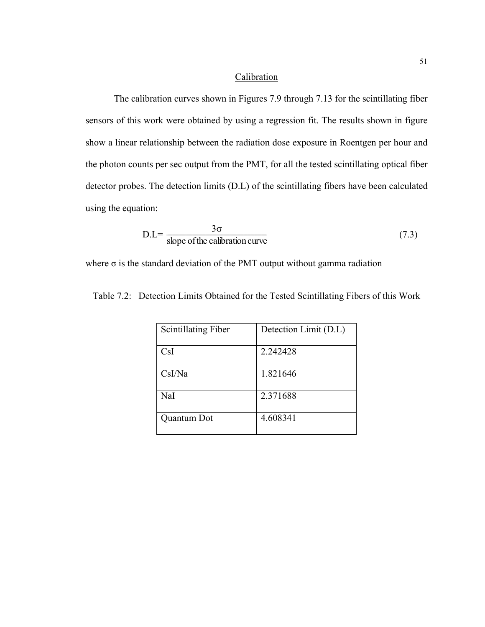# **Calibration**

The calibration curves shown in Figures 7.9 through 7.13 for the scintillating fiber sensors of this work were obtained by using a regression fit. The results shown in figure show a linear relationship between the radiation dose exposure in Roentgen per hour and the photon counts per sec output from the PMT, for all the tested scintillating optical fiber detector probes. The detection limits (D.L) of the scintillating fibers have been calculated using the equation:

$$
D.L = \frac{3\sigma}{\text{slope of the calibration curve}} \tag{7.3}
$$

where  $\sigma$  is the standard deviation of the PMT output without gamma radiation

| <b>Scintillating Fiber</b> | Detection Limit (D.L) |
|----------------------------|-----------------------|
| CsI                        | 2.242428              |
| CsI/Na                     | 1.821646              |
| NaI                        | 2.371688              |
| Quantum Dot                | 4.608341              |

Table 7.2: Detection Limits Obtained for the Tested Scintillating Fibers of this Work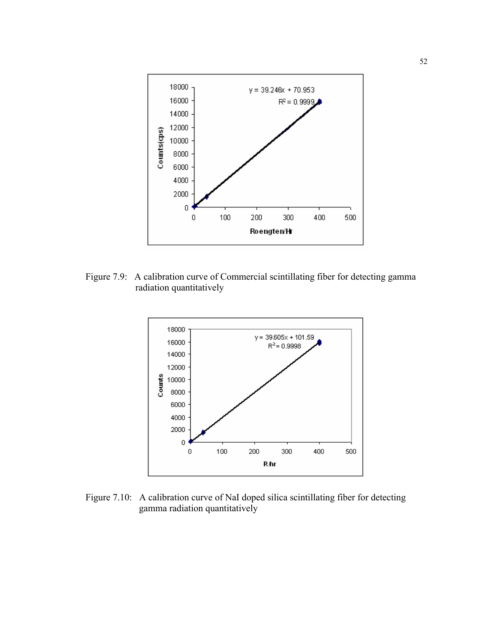

Figure 7.9: A calibration curve of Commercial scintillating fiber for detecting gamma radiation quantitatively



Figure 7.10: A calibration curve of NaI doped silica scintillating fiber for detecting gamma radiation quantitatively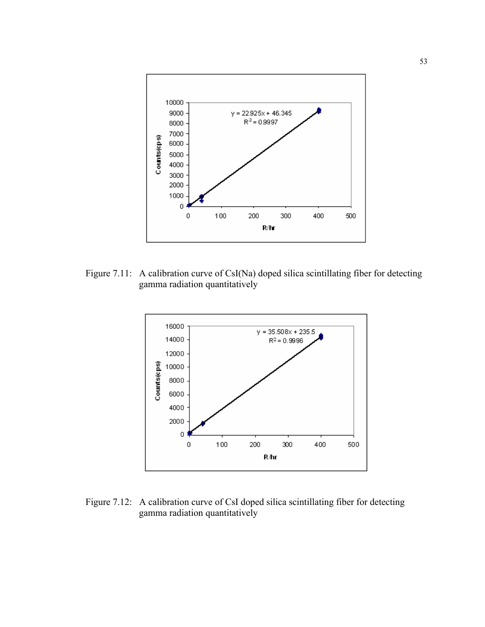

Figure 7.11: A calibration curve of CsI(Na) doped silica scintillating fiber for detecting gamma radiation quantitatively



Figure 7.12: A calibration curve of CsI doped silica scintillating fiber for detecting gamma radiation quantitatively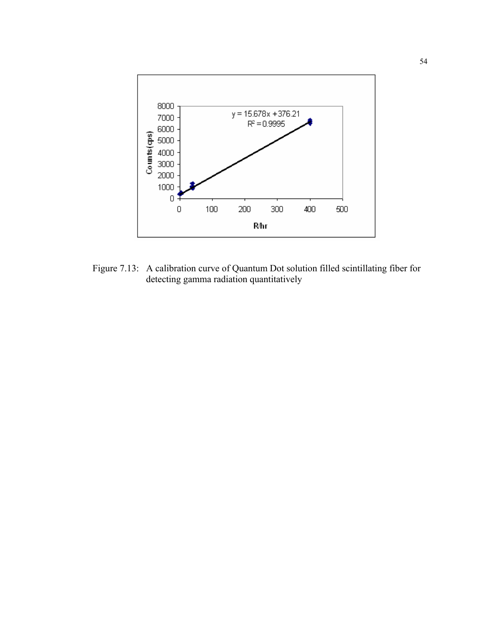

Figure 7.13: A calibration curve of Quantum Dot solution filled scintillating fiber for detecting gamma radiation quantitatively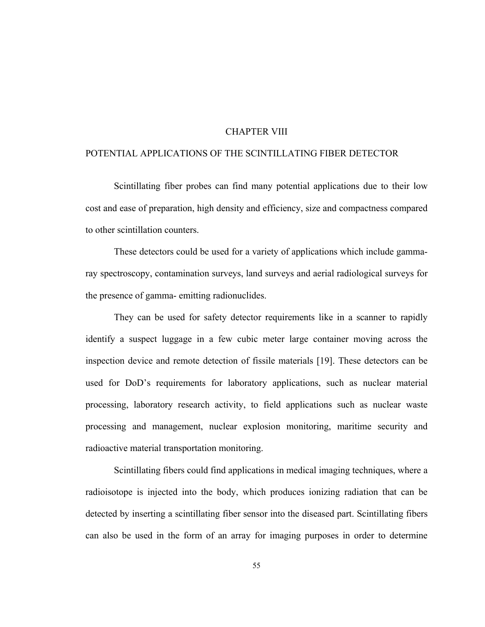# CHAPTER VIII

# POTENTIAL APPLICATIONS OF THE SCINTILLATING FIBER DETECTOR

Scintillating fiber probes can find many potential applications due to their low cost and ease of preparation, high density and efficiency, size and compactness compared to other scintillation counters.

These detectors could be used for a variety of applications which include gammaray spectroscopy, contamination surveys, land surveys and aerial radiological surveys for the presence of gamma- emitting radionuclides.

They can be used for safety detector requirements like in a scanner to rapidly identify a suspect luggage in a few cubic meter large container moving across the inspection device and remote detection of fissile materials [19]. These detectors can be used for DoD's requirements for laboratory applications, such as nuclear material processing, laboratory research activity, to field applications such as nuclear waste processing and management, nuclear explosion monitoring, maritime security and radioactive material transportation monitoring.

Scintillating fibers could find applications in medical imaging techniques, where a radioisotope is injected into the body, which produces ionizing radiation that can be detected by inserting a scintillating fiber sensor into the diseased part. Scintillating fibers can also be used in the form of an array for imaging purposes in order to determine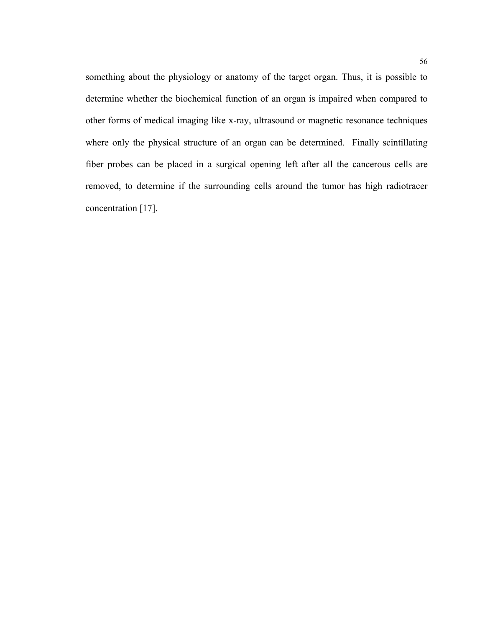something about the physiology or anatomy of the target organ. Thus, it is possible to determine whether the biochemical function of an organ is impaired when compared to other forms of medical imaging like x-ray, ultrasound or magnetic resonance techniques where only the physical structure of an organ can be determined. Finally scintillating fiber probes can be placed in a surgical opening left after all the cancerous cells are removed, to determine if the surrounding cells around the tumor has high radiotracer concentration [17].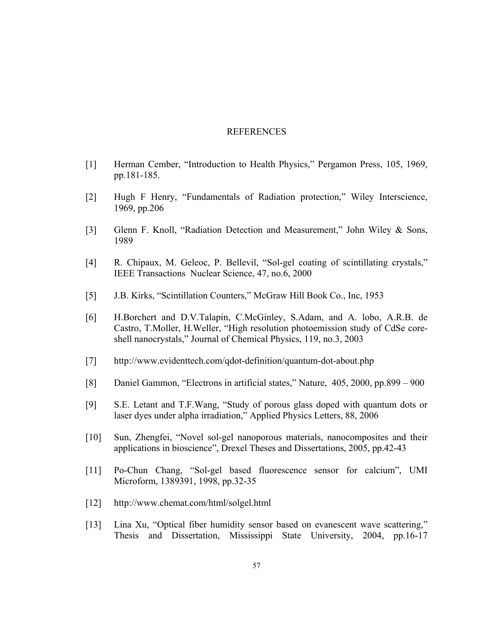#### REFERENCES

- [1] Herman Cember, "Introduction to Health Physics," Pergamon Press, 105, 1969, pp.181-185.
- [2] Hugh F Henry, "Fundamentals of Radiation protection," Wiley Interscience, 1969, pp.206
- [3] Glenn F. Knoll, "Radiation Detection and Measurement," John Wiley & Sons, 1989
- [4] R. Chipaux, M. Geleoc, P. Bellevil, "Sol-gel coating of scintillating crystals," IEEE Transactions Nuclear Science, 47, no.6, 2000
- [5] J.B. Kirks, "Scintillation Counters," McGraw Hill Book Co., Inc, 1953
- [6] H.Borchert and D.V.Talapin, C.McGinley, S.Adam, and A. lobo, A.R.B. de Castro, T.Moller, H.Weller, "High resolution photoemission study of CdSe coreshell nanocrystals," Journal of Chemical Physics, 119, no.3, 2003
- [7] <http://www.evidenttech.com/qdot-definition/quantum-dot-about.php>
- [8] Daniel Gammon, "Electrons in artificial states," Nature, 405, 2000, pp.899 900
- [9] S.E. Letant and T.F.Wang, "Study of porous glass doped with quantum dots or laser dyes under alpha irradiation," Applied Physics Letters, 88, 2006
- [10] Sun, Zhengfei, "Novel sol-gel nanoporous materials, nanocomposites and their applications in bioscience", [Drexel Theses and Dissertations](http://dspace.library.drexel.edu/handle/1860/10), 2005, pp.42-43
- [11] Po-Chun Chang, "Sol-gel based fluorescence sensor for calcium", UMI Microform, 1389391, 1998, pp.32-35
- [12] <http://www.chemat.com/html/solgel.html>
- [13] Lina Xu, "Optical fiber humidity sensor based on evanescent wave scattering," Thesis and Dissertation, Mississippi State University, 2004, pp.16-17